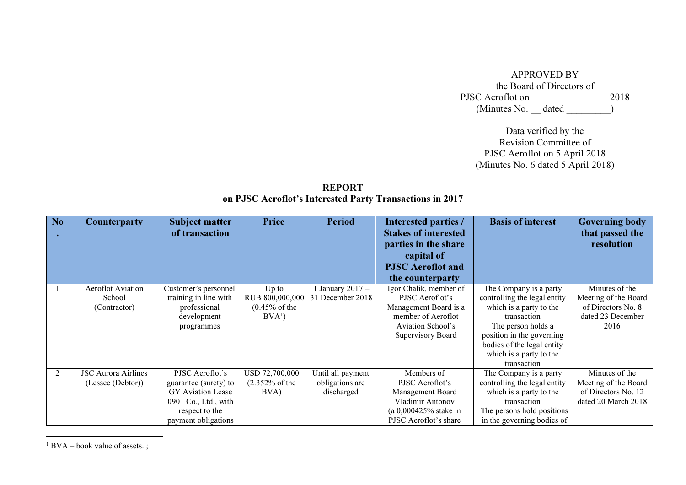| <b>APPROVED BY</b>        |  |      |
|---------------------------|--|------|
| the Board of Directors of |  |      |
| PJSC Aeroflot on          |  | 2018 |
| (Minutes No. _ dated      |  |      |

Data verified by the Revision Committee of PJSC Aeroflot on 5 April 2018 (Minutes No. 6 dated 5 April 2018)

REPORT on PJSC Aeroflot's Interested Party Transactions in 2017

| No | <b>Counterparty</b>        | <b>Subject matter</b>    | <b>Price</b>             | <b>Period</b>     | Interested parties /        | <b>Basis of interest</b>     | <b>Governing body</b> |
|----|----------------------------|--------------------------|--------------------------|-------------------|-----------------------------|------------------------------|-----------------------|
|    |                            | of transaction           |                          |                   | <b>Stakes of interested</b> |                              | that passed the       |
|    |                            |                          |                          |                   | parties in the share        |                              | resolution            |
|    |                            |                          |                          |                   | capital of                  |                              |                       |
|    |                            |                          |                          |                   | <b>PJSC</b> Aeroflot and    |                              |                       |
|    |                            |                          |                          |                   | the counterparty            |                              |                       |
|    | <b>Aeroflot Aviation</b>   | Customer's personnel     | $Up$ to                  | January $2017 -$  | Igor Chalik, member of      | The Company is a party       | Minutes of the        |
|    | School                     | training in line with    | RUB 800,000,000          | 31 December 2018  | PJSC Aeroflot's             | controlling the legal entity | Meeting of the Board  |
|    | (Contractor)               | professional             | $(0.45% \text{ of the})$ |                   | Management Board is a       | which is a party to the      | of Directors No. 8    |
|    |                            | development              | BVA <sup>1</sup>         |                   | member of Aeroflot          | transaction                  | dated 23 December     |
|    |                            | programmes               |                          |                   | <b>Aviation School's</b>    | The person holds a           | 2016                  |
|    |                            |                          |                          |                   | Supervisory Board           | position in the governing    |                       |
|    |                            |                          |                          |                   |                             | bodies of the legal entity   |                       |
|    |                            |                          |                          |                   |                             | which is a party to the      |                       |
|    |                            |                          |                          |                   |                             | transaction                  |                       |
| 2  | <b>JSC Aurora Airlines</b> | PJSC Aeroflot's          | USD 72,700,000           | Until all payment | Members of                  | The Company is a party       | Minutes of the        |
|    | (Lessee (Debtor))          | guarantee (surety) to    | $(2.352%$ of the         | obligations are   | PJSC Aeroflot's             | controlling the legal entity | Meeting of the Board  |
|    |                            | <b>GY</b> Aviation Lease | BVA)                     | discharged        | Management Board            | which is a party to the      | of Directors No. 12   |
|    |                            | 0901 Co., Ltd., with     |                          |                   | Vladimir Antonov            | transaction                  | dated 20 March 2018   |
|    |                            | respect to the           |                          |                   | $(a 0,000425\%$ stake in    | The persons hold positions   |                       |
|    |                            | payment obligations      |                          |                   | PJSC Aeroflot's share       | in the governing bodies of   |                       |

 $1$  BVA – book value of assets.;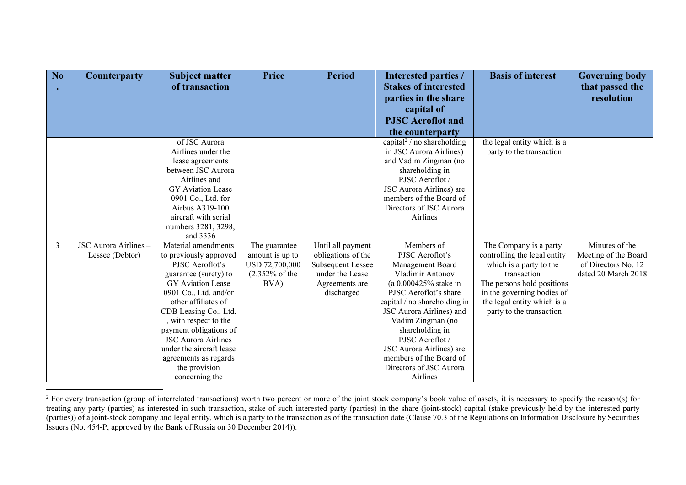| No | Counterparty          | <b>Subject matter</b>      | <b>Price</b>              | <b>Period</b>            | <b>Interested parties /</b>            | <b>Basis of interest</b>     | <b>Governing body</b> |
|----|-----------------------|----------------------------|---------------------------|--------------------------|----------------------------------------|------------------------------|-----------------------|
|    |                       | of transaction             |                           |                          | <b>Stakes of interested</b>            |                              | that passed the       |
|    |                       |                            |                           |                          | parties in the share                   |                              | resolution            |
|    |                       |                            |                           |                          | capital of                             |                              |                       |
|    |                       |                            |                           |                          | <b>PJSC</b> Aeroflot and               |                              |                       |
|    |                       |                            |                           |                          | the counterparty                       |                              |                       |
|    |                       | of JSC Aurora              |                           |                          | capital <sup>2</sup> / no shareholding | the legal entity which is a  |                       |
|    |                       | Airlines under the         |                           |                          | in JSC Aurora Airlines)                | party to the transaction     |                       |
|    |                       | lease agreements           |                           |                          | and Vadim Zingman (no                  |                              |                       |
|    |                       | between JSC Aurora         |                           |                          | shareholding in                        |                              |                       |
|    |                       | Airlines and               |                           |                          | PJSC Aeroflot /                        |                              |                       |
|    |                       | GY Aviation Lease          |                           |                          | JSC Aurora Airlines) are               |                              |                       |
|    |                       | 0901 Co., Ltd. for         |                           |                          | members of the Board of                |                              |                       |
|    |                       | Airbus A319-100            |                           |                          | Directors of JSC Aurora                |                              |                       |
|    |                       | aircraft with serial       |                           |                          | Airlines                               |                              |                       |
|    |                       | numbers 3281, 3298,        |                           |                          |                                        |                              |                       |
|    |                       | and 3336                   |                           |                          |                                        |                              |                       |
| 3  | JSC Aurora Airlines - | Material amendments        | The guarantee             | Until all payment        | Members of                             | The Company is a party       | Minutes of the        |
|    | Lessee (Debtor)       | to previously approved     | amount is up to           | obligations of the       | PJSC Aeroflot's                        | controlling the legal entity | Meeting of the Board  |
|    |                       | PJSC Aeroflot's            | USD 72,700,000            | <b>Subsequent Lessee</b> | Management Board                       | which is a party to the      | of Directors No. 12   |
|    |                       | guarantee (surety) to      | $(2.352\% \text{ of the}$ | under the Lease          | Vladimir Antonov                       | transaction                  | dated 20 March 2018   |
|    |                       | <b>GY</b> Aviation Lease   | BVA)                      | Agreements are           | (a 0,000425% stake in                  | The persons hold positions   |                       |
|    |                       | 0901 Co., Ltd. and/or      |                           | discharged               | PJSC Aeroflot's share                  | in the governing bodies of   |                       |
|    |                       | other affiliates of        |                           |                          | capital / no shareholding in           | the legal entity which is a  |                       |
|    |                       | CDB Leasing Co., Ltd.      |                           |                          | JSC Aurora Airlines) and               | party to the transaction     |                       |
|    |                       | , with respect to the      |                           |                          | Vadim Zingman (no                      |                              |                       |
|    |                       | payment obligations of     |                           |                          | shareholding in                        |                              |                       |
|    |                       | <b>JSC Aurora Airlines</b> |                           |                          | PJSC Aeroflot /                        |                              |                       |
|    |                       | under the aircraft lease   |                           |                          | JSC Aurora Airlines) are               |                              |                       |
|    |                       | agreements as regards      |                           |                          | members of the Board of                |                              |                       |
|    |                       | the provision              |                           |                          | Directors of JSC Aurora                |                              |                       |
|    |                       | concerning the             |                           |                          | Airlines                               |                              |                       |

<sup>&</sup>lt;sup>2</sup> For every transaction (group of interrelated transactions) worth two percent or more of the joint stock company's book value of assets, it is necessary to specify the reason(s) for treating any party (parties) as interested in such transaction, stake of such interested party (parties) in the share (joint-stock) capital (stake previously held by the interested party<br>(parties)) of a joint-stock company Issuers (No. 454-P, approved by the Bank of Russia on 30 December 2014)).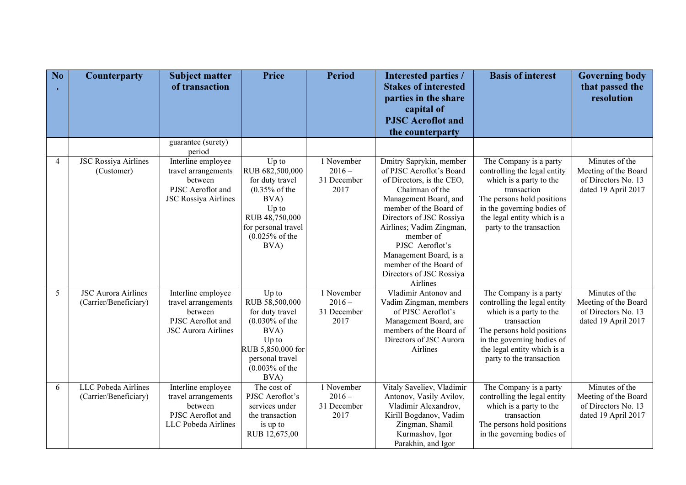| No | <b>Counterparty</b>                                 | <b>Subject matter</b><br>of transaction                                                                  | <b>Price</b>                                                                                                                                                  | <b>Period</b>                                 | Interested parties /<br><b>Stakes of interested</b><br>parties in the share                                                                                                                                                                                                                                                                | <b>Basis of interest</b>                                                                                                                                                                                                | <b>Governing body</b><br>that passed the<br>resolution                               |
|----|-----------------------------------------------------|----------------------------------------------------------------------------------------------------------|---------------------------------------------------------------------------------------------------------------------------------------------------------------|-----------------------------------------------|--------------------------------------------------------------------------------------------------------------------------------------------------------------------------------------------------------------------------------------------------------------------------------------------------------------------------------------------|-------------------------------------------------------------------------------------------------------------------------------------------------------------------------------------------------------------------------|--------------------------------------------------------------------------------------|
|    |                                                     |                                                                                                          |                                                                                                                                                               |                                               | capital of<br><b>PJSC</b> Aeroflot and                                                                                                                                                                                                                                                                                                     |                                                                                                                                                                                                                         |                                                                                      |
|    |                                                     |                                                                                                          |                                                                                                                                                               |                                               | the counterparty                                                                                                                                                                                                                                                                                                                           |                                                                                                                                                                                                                         |                                                                                      |
|    |                                                     | guarantee (surety)<br>period                                                                             |                                                                                                                                                               |                                               |                                                                                                                                                                                                                                                                                                                                            |                                                                                                                                                                                                                         |                                                                                      |
| 4  | <b>JSC Rossiya Airlines</b><br>(Customer)           | Interline employee<br>travel arrangements<br>between<br>PJSC Aeroflot and<br><b>JSC Rossiya Airlines</b> | Up to<br>RUB 682,500,000<br>for duty travel<br>$(0.35%$ of the<br>BVA)<br>Up to<br>RUB 48,750,000<br>for personal travel<br>$(0.025\% \text{ of the}$<br>BVA) | 1 November<br>$2016 -$<br>31 December<br>2017 | Dmitry Saprykin, member<br>of PJSC Aeroflot's Board<br>of Directors, is the CEO,<br>Chairman of the<br>Management Board, and<br>member of the Board of<br>Directors of JSC Rossiya<br>Airlines; Vadim Zingman,<br>member of<br>PJSC Aeroflot's<br>Management Board, is a<br>member of the Board of<br>Directors of JSC Rossiya<br>Airlines | The Company is a party<br>controlling the legal entity<br>which is a party to the<br>transaction<br>The persons hold positions<br>in the governing bodies of<br>the legal entity which is a<br>party to the transaction | Minutes of the<br>Meeting of the Board<br>of Directors No. 13<br>dated 19 April 2017 |
| 5  | <b>JSC Aurora Airlines</b><br>(Carrier/Beneficiary) | Interline employee<br>travel arrangements<br>between<br>PJSC Aeroflot and<br><b>JSC Aurora Airlines</b>  | Up to<br>RUB 58,500,000<br>for duty travel<br>$(0.030\% \text{ of the}$<br>BVA)<br>Up to<br>RUB 5,850,000 for<br>personal travel<br>$(0.003%$ of the<br>BVA)  | 1 November<br>$2016 -$<br>31 December<br>2017 | Vladimir Antonov and<br>Vadim Zingman, members<br>of PJSC Aeroflot's<br>Management Board, are<br>members of the Board of<br>Directors of JSC Aurora<br>Airlines                                                                                                                                                                            | The Company is a party<br>controlling the legal entity<br>which is a party to the<br>transaction<br>The persons hold positions<br>in the governing bodies of<br>the legal entity which is a<br>party to the transaction | Minutes of the<br>Meeting of the Board<br>of Directors No. 13<br>dated 19 April 2017 |
| 6  | LLC Pobeda Airlines<br>(Carrier/Beneficiary)        | Interline employee<br>travel arrangements<br>between<br>PJSC Aeroflot and<br>LLC Pobeda Airlines         | The cost of<br>PJSC Aeroflot's<br>services under<br>the transaction<br>is up to<br>RUB 12,675,00                                                              | 1 November<br>$2016 -$<br>31 December<br>2017 | Vitaly Saveliev, Vladimir<br>Antonov, Vasily Avilov,<br>Vladimir Alexandrov,<br>Kirill Bogdanov, Vadim<br>Zingman, Shamil<br>Kurmashov, Igor<br>Parakhin, and Igor                                                                                                                                                                         | The Company is a party<br>controlling the legal entity<br>which is a party to the<br>transaction<br>The persons hold positions<br>in the governing bodies of                                                            | Minutes of the<br>Meeting of the Board<br>of Directors No. 13<br>dated 19 April 2017 |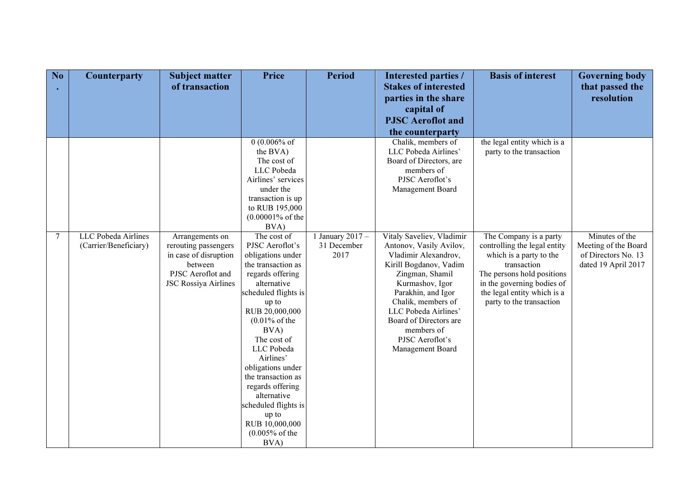| No             | <b>Counterparty</b>                          | <b>Subject matter</b><br>of transaction                                                                                         | <b>Price</b>                                                                                                                                                                                                                                                                                                                                                                                               | <b>Period</b>                           | Interested parties /<br><b>Stakes of interested</b><br>parties in the share                                                                                                                                                                                                                     | <b>Basis of interest</b>                                                                                                                                                                                                | <b>Governing body</b><br>that passed the<br>resolution                               |
|----------------|----------------------------------------------|---------------------------------------------------------------------------------------------------------------------------------|------------------------------------------------------------------------------------------------------------------------------------------------------------------------------------------------------------------------------------------------------------------------------------------------------------------------------------------------------------------------------------------------------------|-----------------------------------------|-------------------------------------------------------------------------------------------------------------------------------------------------------------------------------------------------------------------------------------------------------------------------------------------------|-------------------------------------------------------------------------------------------------------------------------------------------------------------------------------------------------------------------------|--------------------------------------------------------------------------------------|
|                |                                              |                                                                                                                                 |                                                                                                                                                                                                                                                                                                                                                                                                            |                                         | capital of<br><b>PJSC</b> Aeroflot and                                                                                                                                                                                                                                                          |                                                                                                                                                                                                                         |                                                                                      |
|                |                                              |                                                                                                                                 |                                                                                                                                                                                                                                                                                                                                                                                                            |                                         | the counterparty                                                                                                                                                                                                                                                                                |                                                                                                                                                                                                                         |                                                                                      |
|                |                                              |                                                                                                                                 | 0 $(0.006%$ of<br>the BVA)<br>The cost of<br>LLC Pobeda<br>Airlines' services<br>under the<br>transaction is up<br>to RUB 195,000<br>$(0.00001\% \text{ of the}$<br>BVA)                                                                                                                                                                                                                                   |                                         | Chalik, members of<br>LLC Pobeda Airlines'<br>Board of Directors, are<br>members of<br>PJSC Aeroflot's<br>Management Board                                                                                                                                                                      | the legal entity which is a<br>party to the transaction                                                                                                                                                                 |                                                                                      |
| $\overline{7}$ | LLC Pobeda Airlines<br>(Carrier/Beneficiary) | Arrangements on<br>rerouting passengers<br>in case of disruption<br>between<br>PJSC Aeroflot and<br><b>JSC Rossiya Airlines</b> | The cost of<br>PJSC Aeroflot's<br>obligations under<br>the transaction as<br>regards offering<br>alternative<br>scheduled flights is<br>up to<br>RUB 20,000,000<br>$(0.01\% \text{ of the}$<br>BVA)<br>The cost of<br>LLC Pobeda<br>Airlines'<br>obligations under<br>the transaction as<br>regards offering<br>alternative<br>scheduled flights is<br>up to<br>RUB 10,000,000<br>$(0.005%$ of the<br>BVA) | January $2017 -$<br>31 December<br>2017 | Vitaly Saveliev, Vladimir<br>Antonov, Vasily Avilov,<br>Vladimir Alexandrov,<br>Kirill Bogdanov, Vadim<br>Zingman, Shamil<br>Kurmashov, Igor<br>Parakhin, and Igor<br>Chalik, members of<br>LLC Pobeda Airlines'<br>Board of Directors are<br>members of<br>PJSC Aeroflot's<br>Management Board | The Company is a party<br>controlling the legal entity<br>which is a party to the<br>transaction<br>The persons hold positions<br>in the governing bodies of<br>the legal entity which is a<br>party to the transaction | Minutes of the<br>Meeting of the Board<br>of Directors No. 13<br>dated 19 April 2017 |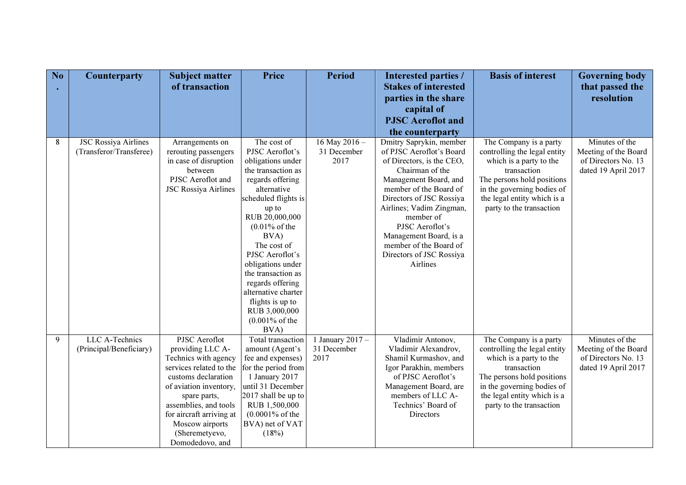| No | <b>Counterparty</b>         | <b>Subject matter</b>                       | Price                                       | <b>Period</b>      | <b>Interested parties /</b>                     | <b>Basis of interest</b>                                  | <b>Governing body</b> |
|----|-----------------------------|---------------------------------------------|---------------------------------------------|--------------------|-------------------------------------------------|-----------------------------------------------------------|-----------------------|
|    |                             | of transaction                              |                                             |                    | <b>Stakes of interested</b>                     |                                                           | that passed the       |
|    |                             |                                             |                                             |                    | parties in the share                            |                                                           | resolution            |
|    |                             |                                             |                                             |                    | capital of                                      |                                                           |                       |
|    |                             |                                             |                                             |                    | <b>PJSC</b> Aeroflot and                        |                                                           |                       |
|    |                             |                                             |                                             |                    | the counterparty                                |                                                           |                       |
| 8  | <b>JSC Rossiya Airlines</b> | Arrangements on                             | The cost of                                 | 16 May 2016 -      | Dmitry Saprykin, member                         | The Company is a party                                    | Minutes of the        |
|    | (Transferor/Transferee)     | rerouting passengers                        | PJSC Aeroflot's                             | 31 December        | of PJSC Aeroflot's Board                        | controlling the legal entity                              | Meeting of the Board  |
|    |                             | in case of disruption                       | obligations under                           | 2017               | of Directors, is the CEO,                       | which is a party to the                                   | of Directors No. 13   |
|    |                             | between                                     | the transaction as                          |                    | Chairman of the                                 | transaction                                               | dated 19 April 2017   |
|    |                             | PJSC Aeroflot and                           | regards offering<br>alternative             |                    | Management Board, and<br>member of the Board of | The persons hold positions                                |                       |
|    |                             | <b>JSC Rossiya Airlines</b>                 | scheduled flights is                        |                    | Directors of JSC Rossiya                        | in the governing bodies of<br>the legal entity which is a |                       |
|    |                             |                                             | up to                                       |                    | Airlines; Vadim Zingman,                        | party to the transaction                                  |                       |
|    |                             |                                             | RUB 20,000,000                              |                    | member of                                       |                                                           |                       |
|    |                             |                                             | $(0.01\% \text{ of the}$                    |                    | PJSC Aeroflot's                                 |                                                           |                       |
|    |                             |                                             | BVA)                                        |                    | Management Board, is a                          |                                                           |                       |
|    |                             |                                             | The cost of                                 |                    | member of the Board of                          |                                                           |                       |
|    |                             |                                             | PJSC Aeroflot's                             |                    | Directors of JSC Rossiya                        |                                                           |                       |
|    |                             |                                             | obligations under                           |                    | Airlines                                        |                                                           |                       |
|    |                             |                                             | the transaction as                          |                    |                                                 |                                                           |                       |
|    |                             |                                             | regards offering                            |                    |                                                 |                                                           |                       |
|    |                             |                                             | alternative charter                         |                    |                                                 |                                                           |                       |
|    |                             |                                             | flights is up to<br>RUB 3,000,000           |                    |                                                 |                                                           |                       |
|    |                             |                                             | $(0.001\% \text{ of the}$                   |                    |                                                 |                                                           |                       |
|    |                             |                                             | BVA)                                        |                    |                                                 |                                                           |                       |
| 9  | LLC A-Technics              | PJSC Aeroflot                               | Total transaction                           | 1 January 2017 $-$ | Vladimir Antonov,                               | The Company is a party                                    | Minutes of the        |
|    | (Principal/Beneficiary)     | providing LLC A-                            | amount (Agent's                             | 31 December        | Vladimir Alexandrov,                            | controlling the legal entity                              | Meeting of the Board  |
|    |                             | Technics with agency                        | fee and expenses)                           | 2017               | Shamil Kurmashov, and                           | which is a party to the                                   | of Directors No. 13   |
|    |                             | services related to the                     | for the period from                         |                    | Igor Parakhin, members                          | transaction                                               | dated 19 April 2017   |
|    |                             | customs declaration                         | 1 January 2017                              |                    | of PJSC Aeroflot's                              | The persons hold positions                                |                       |
|    |                             | of aviation inventory,                      | until 31 December                           |                    | Management Board, are                           | in the governing bodies of                                |                       |
|    |                             | spare parts,                                | 2017 shall be up to                         |                    | members of LLC A-                               | the legal entity which is a                               |                       |
|    |                             | assemblies, and tools                       | RUB 1,500,000<br>$(0.0001\% \text{ of the}$ |                    | Technics' Board of<br>Directors                 | party to the transaction                                  |                       |
|    |                             | for aircraft arriving at<br>Moscow airports | BVA) net of VAT                             |                    |                                                 |                                                           |                       |
|    |                             | (Sheremetyevo,                              | (18%)                                       |                    |                                                 |                                                           |                       |
|    |                             | Domodedovo, and                             |                                             |                    |                                                 |                                                           |                       |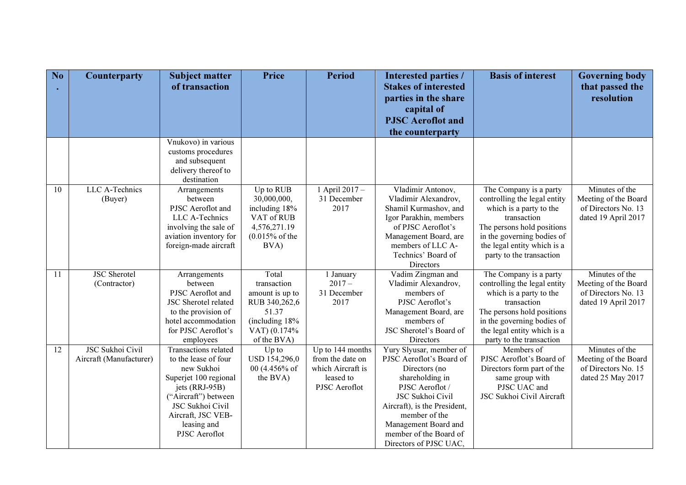| No              | <b>Counterparty</b>     | <b>Subject matter</b><br>of transaction         | <b>Price</b>                              | <b>Period</b>     | <b>Interested parties /</b><br><b>Stakes of interested</b> | <b>Basis of interest</b>                                 | <b>Governing body</b><br>that passed the |
|-----------------|-------------------------|-------------------------------------------------|-------------------------------------------|-------------------|------------------------------------------------------------|----------------------------------------------------------|------------------------------------------|
|                 |                         |                                                 |                                           |                   | parties in the share                                       |                                                          | resolution                               |
|                 |                         |                                                 |                                           |                   | capital of                                                 |                                                          |                                          |
|                 |                         |                                                 |                                           |                   | <b>PJSC</b> Aeroflot and                                   |                                                          |                                          |
|                 |                         |                                                 |                                           |                   | the counterparty                                           |                                                          |                                          |
|                 |                         | Vnukovo) in various                             |                                           |                   |                                                            |                                                          |                                          |
|                 |                         | customs procedures<br>and subsequent            |                                           |                   |                                                            |                                                          |                                          |
|                 |                         | delivery thereof to                             |                                           |                   |                                                            |                                                          |                                          |
|                 |                         | destination                                     |                                           |                   |                                                            |                                                          |                                          |
| 10              | LLC A-Technics          | Arrangements                                    | Up to RUB                                 | 1 April 2017 -    | Vladimir Antonov,                                          | The Company is a party                                   | Minutes of the                           |
|                 | (Buyer)                 | between                                         | 30,000,000,                               | 31 December       | Vladimir Alexandrov,                                       | controlling the legal entity                             | Meeting of the Board                     |
|                 |                         | PJSC Aeroflot and                               | including 18%                             | 2017              | Shamil Kurmashov, and                                      | which is a party to the                                  | of Directors No. 13                      |
|                 |                         | LLC A-Technics                                  | VAT of RUB                                |                   | Igor Parakhin, members                                     | transaction                                              | dated 19 April 2017                      |
|                 |                         | involving the sale of<br>aviation inventory for | 4,576,271.19<br>$(0.015\% \text{ of the}$ |                   | of PJSC Aeroflot's<br>Management Board, are                | The persons hold positions<br>in the governing bodies of |                                          |
|                 |                         | foreign-made aircraft                           | BVA)                                      |                   | members of LLC A-                                          | the legal entity which is a                              |                                          |
|                 |                         |                                                 |                                           |                   | Technics' Board of                                         | party to the transaction                                 |                                          |
|                 |                         |                                                 |                                           |                   | Directors                                                  |                                                          |                                          |
| 11              | <b>JSC</b> Sherotel     | Arrangements                                    | Total                                     | 1 January         | Vadim Zingman and                                          | The Company is a party                                   | Minutes of the                           |
|                 | (Contractor)            | between                                         | transaction                               | $2017-$           | Vladimir Alexandrov,                                       | controlling the legal entity                             | Meeting of the Board                     |
|                 |                         | PJSC Aeroflot and                               | amount is up to                           | 31 December       | members of                                                 | which is a party to the                                  | of Directors No. 13                      |
|                 |                         | JSC Sherotel related<br>to the provision of     | RUB 340,262,6<br>51.37                    | 2017              | PJSC Aeroflot's<br>Management Board, are                   | transaction<br>The persons hold positions                | dated 19 April 2017                      |
|                 |                         | hotel accommodation                             | (including 18%)                           |                   | members of                                                 | in the governing bodies of                               |                                          |
|                 |                         | for PJSC Aeroflot's                             | VAT) (0.174%                              |                   | JSC Sherotel's Board of                                    | the legal entity which is a                              |                                          |
|                 |                         | employees                                       | of the BVA)                               |                   | Directors                                                  | party to the transaction                                 |                                          |
| $\overline{12}$ | <b>JSC Sukhoi Civil</b> | Transactions related                            | Up to                                     | Up to 144 months  | Yury Slyusar, member of                                    | Members of                                               | Minutes of the                           |
|                 | Aircraft (Manufacturer) | to the lease of four                            | USD 154,296,0                             | from the date on  | PJSC Aeroflot's Board of                                   | PJSC Aeroflot's Board of                                 | Meeting of the Board                     |
|                 |                         | new Sukhoi                                      | 00 (4.456% of                             | which Aircraft is | Directors (no                                              | Directors form part of the                               | of Directors No. 15                      |
|                 |                         | Superjet 100 regional                           | the BVA)                                  | leased to         | shareholding in                                            | same group with                                          | dated 25 May 2017                        |
|                 |                         | jets (RRJ-95B)<br>("Aircraft") between          |                                           | PJSC Aeroflot     | PJSC Aeroflot /<br>JSC Sukhoi Civil                        | PJSC UAC and<br>JSC Sukhoi Civil Aircraft                |                                          |
|                 |                         | JSC Sukhoi Civil                                |                                           |                   | Aircraft), is the President,                               |                                                          |                                          |
|                 |                         | Aircraft, JSC VEB-                              |                                           |                   | member of the                                              |                                                          |                                          |
|                 |                         | leasing and                                     |                                           |                   | Management Board and                                       |                                                          |                                          |
|                 |                         | PJSC Aeroflot                                   |                                           |                   | member of the Board of                                     |                                                          |                                          |
|                 |                         |                                                 |                                           |                   | Directors of PJSC UAC,                                     |                                                          |                                          |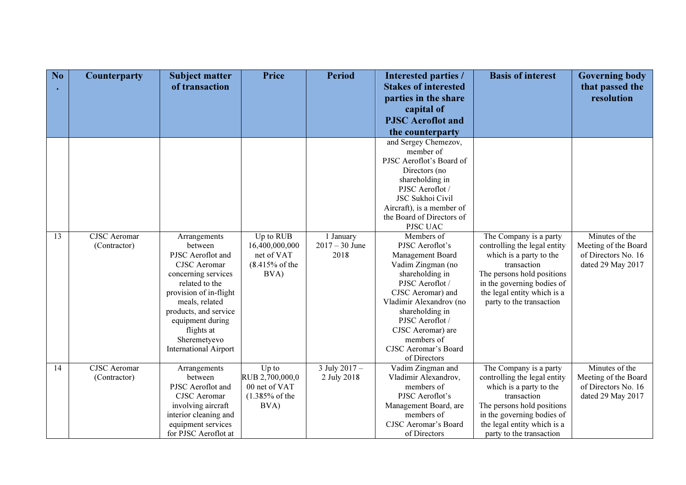| No | <b>Counterparty</b> | <b>Subject matter</b><br>of transaction | <b>Price</b>              | <b>Period</b>    | Interested parties /<br><b>Stakes of interested</b>    | <b>Basis of interest</b>     | <b>Governing body</b><br>that passed the |
|----|---------------------|-----------------------------------------|---------------------------|------------------|--------------------------------------------------------|------------------------------|------------------------------------------|
|    |                     |                                         |                           |                  | parties in the share                                   |                              | resolution                               |
|    |                     |                                         |                           |                  | capital of                                             |                              |                                          |
|    |                     |                                         |                           |                  | <b>PJSC</b> Aeroflot and                               |                              |                                          |
|    |                     |                                         |                           |                  | the counterparty                                       |                              |                                          |
|    |                     |                                         |                           |                  | and Sergey Chemezov,                                   |                              |                                          |
|    |                     |                                         |                           |                  | member of                                              |                              |                                          |
|    |                     |                                         |                           |                  | PJSC Aeroflot's Board of                               |                              |                                          |
|    |                     |                                         |                           |                  | Directors (no                                          |                              |                                          |
|    |                     |                                         |                           |                  | shareholding in                                        |                              |                                          |
|    |                     |                                         |                           |                  | PJSC Aeroflot /                                        |                              |                                          |
|    |                     |                                         |                           |                  | JSC Sukhoi Civil                                       |                              |                                          |
|    |                     |                                         |                           |                  | Aircraft), is a member of<br>the Board of Directors of |                              |                                          |
|    |                     |                                         |                           |                  | PJSC UAC                                               |                              |                                          |
| 13 | <b>CJSC</b> Aeromar | Arrangements                            | Up to RUB                 | 1 January        | Members of                                             | The Company is a party       | Minutes of the                           |
|    | (Contractor)        | between                                 | 16,400,000,000            | $2017 - 30$ June | PJSC Aeroflot's                                        | controlling the legal entity | Meeting of the Board                     |
|    |                     | PJSC Aeroflot and                       | net of VAT                | 2018             | Management Board                                       | which is a party to the      | of Directors No. 16                      |
|    |                     | <b>CJSC</b> Aeromar                     | $(8.415\% \text{ of the}$ |                  | Vadim Zingman (no                                      | transaction                  | dated 29 May 2017                        |
|    |                     | concerning services                     | BVA)                      |                  | shareholding in                                        | The persons hold positions   |                                          |
|    |                     | related to the                          |                           |                  | PJSC Aeroflot /                                        | in the governing bodies of   |                                          |
|    |                     | provision of in-flight                  |                           |                  | CJSC Aeromar) and                                      | the legal entity which is a  |                                          |
|    |                     | meals, related                          |                           |                  | Vladimir Alexandrov (no                                | party to the transaction     |                                          |
|    |                     | products, and service                   |                           |                  | shareholding in                                        |                              |                                          |
|    |                     | equipment during                        |                           |                  | PJSC Aeroflot /<br>CJSC Aeromar) are                   |                              |                                          |
|    |                     | flights at<br>Sheremetyevo              |                           |                  | members of                                             |                              |                                          |
|    |                     | <b>International Airport</b>            |                           |                  | <b>CJSC Aeromar's Board</b>                            |                              |                                          |
|    |                     |                                         |                           |                  | of Directors                                           |                              |                                          |
| 14 | <b>CJSC</b> Aeromar | Arrangements                            | Up to                     | 3 July 2017 -    | Vadim Zingman and                                      | The Company is a party       | Minutes of the                           |
|    | (Contractor)        | between                                 | RUB 2,700,000,0           | 2 July 2018      | Vladimir Alexandrov,                                   | controlling the legal entity | Meeting of the Board                     |
|    |                     | PJSC Aeroflot and                       | 00 net of VAT             |                  | members of                                             | which is a party to the      | of Directors No. 16                      |
|    |                     | <b>CJSC</b> Aeromar                     | $(1.385\% \text{ of the}$ |                  | PJSC Aeroflot's                                        | transaction                  | dated 29 May 2017                        |
|    |                     | involving aircraft                      | BVA)                      |                  | Management Board, are                                  | The persons hold positions   |                                          |
|    |                     | interior cleaning and                   |                           |                  | members of                                             | in the governing bodies of   |                                          |
|    |                     | equipment services                      |                           |                  | CJSC Aeromar's Board                                   | the legal entity which is a  |                                          |
|    |                     | for PJSC Aeroflot at                    |                           |                  | of Directors                                           | party to the transaction     |                                          |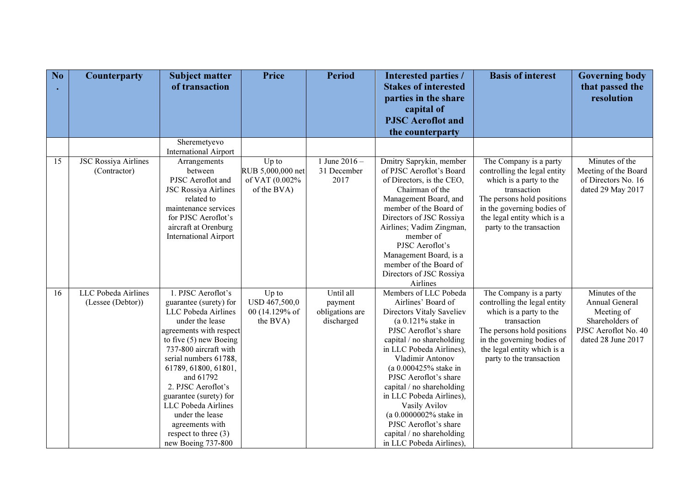| No | <b>Counterparty</b>         | <b>Subject matter</b><br>of transaction      | <b>Price</b>      | <b>Period</b>   | Interested parties /<br><b>Stakes of interested</b> | <b>Basis of interest</b>                                  | <b>Governing body</b><br>that passed the |
|----|-----------------------------|----------------------------------------------|-------------------|-----------------|-----------------------------------------------------|-----------------------------------------------------------|------------------------------------------|
|    |                             |                                              |                   |                 | parties in the share                                |                                                           | resolution                               |
|    |                             |                                              |                   |                 | capital of                                          |                                                           |                                          |
|    |                             |                                              |                   |                 | <b>PJSC</b> Aeroflot and                            |                                                           |                                          |
|    |                             |                                              |                   |                 | the counterparty                                    |                                                           |                                          |
|    |                             | Sheremetyevo<br><b>International Airport</b> |                   |                 |                                                     |                                                           |                                          |
| 15 | <b>JSC Rossiya Airlines</b> | Arrangements                                 | Up to             | 1 June $2016 -$ | Dmitry Saprykin, member                             | The Company is a party                                    | Minutes of the                           |
|    | (Contractor)                | between                                      | RUB 5,000,000 net | 31 December     | of PJSC Aeroflot's Board                            | controlling the legal entity                              | Meeting of the Board                     |
|    |                             | PJSC Aeroflot and                            | of VAT (0.002%    | 2017            | of Directors, is the CEO,                           | which is a party to the                                   | of Directors No. 16                      |
|    |                             | <b>JSC Rossiya Airlines</b>                  | of the BVA)       |                 | Chairman of the                                     | transaction                                               | dated 29 May 2017                        |
|    |                             | related to<br>maintenance services           |                   |                 | Management Board, and<br>member of the Board of     | The persons hold positions                                |                                          |
|    |                             | for PJSC Aeroflot's                          |                   |                 | Directors of JSC Rossiya                            | in the governing bodies of<br>the legal entity which is a |                                          |
|    |                             | aircraft at Orenburg                         |                   |                 | Airlines; Vadim Zingman,                            | party to the transaction                                  |                                          |
|    |                             | <b>International Airport</b>                 |                   |                 | member of                                           |                                                           |                                          |
|    |                             |                                              |                   |                 | PJSC Aeroflot's                                     |                                                           |                                          |
|    |                             |                                              |                   |                 | Management Board, is a                              |                                                           |                                          |
|    |                             |                                              |                   |                 | member of the Board of                              |                                                           |                                          |
|    |                             |                                              |                   |                 | Directors of JSC Rossiya                            |                                                           |                                          |
|    |                             |                                              |                   |                 | Airlines                                            |                                                           |                                          |
| 16 | LLC Pobeda Airlines         | 1. PJSC Aeroflot's                           | Up to             | Until all       | Members of LLC Pobeda                               | The Company is a party                                    | Minutes of the                           |
|    | (Lessee (Debtor))           | guarantee (surety) for                       | USD 467,500,0     | payment         | Airlines' Board of                                  | controlling the legal entity                              | Annual General                           |
|    |                             | LLC Pobeda Airlines                          | 00 (14.129% of    | obligations are | Directors Vitaly Saveliev                           | which is a party to the                                   | Meeting of                               |
|    |                             | under the lease                              | the BVA)          | discharged      | (a $0.121\%$ stake in                               | transaction                                               | Shareholders of                          |
|    |                             | agreements with respect                      |                   |                 | PJSC Aeroflot's share                               | The persons hold positions                                | PJSC Aeroflot No. 40                     |
|    |                             | to five $(5)$ new Boeing                     |                   |                 | capital / no shareholding                           | in the governing bodies of                                | dated 28 June 2017                       |
|    |                             | 737-800 aircraft with                        |                   |                 | in LLC Pobeda Airlines),                            | the legal entity which is a                               |                                          |
|    |                             | serial numbers 61788,                        |                   |                 | Vladimir Antonov                                    | party to the transaction                                  |                                          |
|    |                             | 61789, 61800, 61801,<br>and 61792            |                   |                 | (a 0.000425% stake in<br>PJSC Aeroflot's share      |                                                           |                                          |
|    |                             | 2. PJSC Aeroflot's                           |                   |                 | capital / no shareholding                           |                                                           |                                          |
|    |                             | guarantee (surety) for                       |                   |                 | in LLC Pobeda Airlines),                            |                                                           |                                          |
|    |                             | LLC Pobeda Airlines                          |                   |                 | Vasily Avilov                                       |                                                           |                                          |
|    |                             | under the lease                              |                   |                 | (a 0.0000002% stake in                              |                                                           |                                          |
|    |                             | agreements with                              |                   |                 | PJSC Aeroflot's share                               |                                                           |                                          |
|    |                             | respect to three $(3)$                       |                   |                 | capital / no shareholding                           |                                                           |                                          |
|    |                             | new Boeing 737-800                           |                   |                 | in LLC Pobeda Airlines),                            |                                                           |                                          |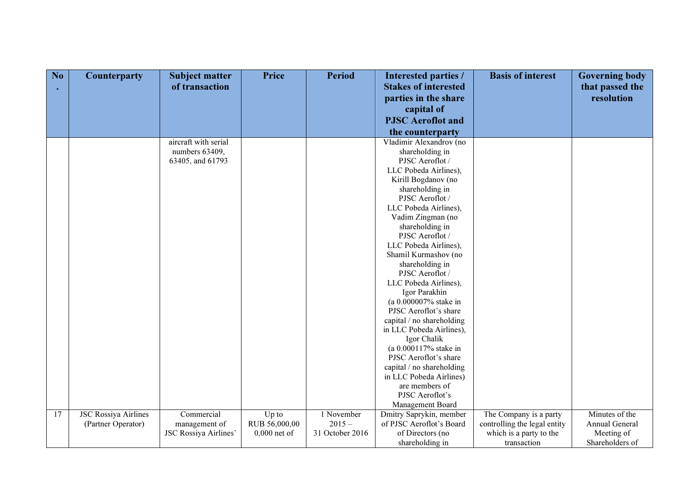| No | <b>Counterparty</b>         | <b>Subject matter</b> | <b>Price</b>   | <b>Period</b>   | <b>Interested parties /</b>                   | <b>Basis of interest</b>     | <b>Governing body</b> |
|----|-----------------------------|-----------------------|----------------|-----------------|-----------------------------------------------|------------------------------|-----------------------|
|    |                             | of transaction        |                |                 | <b>Stakes of interested</b>                   |                              | that passed the       |
|    |                             |                       |                |                 | parties in the share                          |                              | resolution            |
|    |                             |                       |                |                 | capital of                                    |                              |                       |
|    |                             |                       |                |                 | <b>PJSC</b> Aeroflot and                      |                              |                       |
|    |                             |                       |                |                 |                                               |                              |                       |
|    |                             |                       |                |                 | the counterparty                              |                              |                       |
|    |                             | aircraft with serial  |                |                 | Vladimir Alexandrov (no                       |                              |                       |
|    |                             | numbers 63409,        |                |                 | shareholding in                               |                              |                       |
|    |                             | 63405, and 61793      |                |                 | PJSC Aeroflot /                               |                              |                       |
|    |                             |                       |                |                 | LLC Pobeda Airlines),                         |                              |                       |
|    |                             |                       |                |                 | Kirill Bogdanov (no                           |                              |                       |
|    |                             |                       |                |                 | shareholding in                               |                              |                       |
|    |                             |                       |                |                 | PJSC Aeroflot /                               |                              |                       |
|    |                             |                       |                |                 | LLC Pobeda Airlines),                         |                              |                       |
|    |                             |                       |                |                 | Vadim Zingman (no                             |                              |                       |
|    |                             |                       |                |                 | shareholding in<br>PJSC Aeroflot /            |                              |                       |
|    |                             |                       |                |                 |                                               |                              |                       |
|    |                             |                       |                |                 | LLC Pobeda Airlines),<br>Shamil Kurmashov (no |                              |                       |
|    |                             |                       |                |                 | shareholding in                               |                              |                       |
|    |                             |                       |                |                 | PJSC Aeroflot /                               |                              |                       |
|    |                             |                       |                |                 | LLC Pobeda Airlines),                         |                              |                       |
|    |                             |                       |                |                 | Igor Parakhin                                 |                              |                       |
|    |                             |                       |                |                 | (a 0.000007% stake in                         |                              |                       |
|    |                             |                       |                |                 | PJSC Aeroflot's share                         |                              |                       |
|    |                             |                       |                |                 | capital / no shareholding                     |                              |                       |
|    |                             |                       |                |                 | in LLC Pobeda Airlines),                      |                              |                       |
|    |                             |                       |                |                 | Igor Chalik                                   |                              |                       |
|    |                             |                       |                |                 | (a 0.000117% stake in                         |                              |                       |
|    |                             |                       |                |                 | PJSC Aeroflot's share                         |                              |                       |
|    |                             |                       |                |                 | capital / no shareholding                     |                              |                       |
|    |                             |                       |                |                 | in LLC Pobeda Airlines)                       |                              |                       |
|    |                             |                       |                |                 | are members of                                |                              |                       |
|    |                             |                       |                |                 | PJSC Aeroflot's                               |                              |                       |
|    |                             |                       |                |                 | Management Board                              |                              |                       |
| 17 | <b>JSC Rossiya Airlines</b> | Commercial            | Up to          | 1 November      | Dmitry Saprykin, member                       | The Company is a party       | Minutes of the        |
|    | (Partner Operator)          | management of         | RUB 56,000,00  | $2015 -$        | of PJSC Aeroflot's Board                      | controlling the legal entity | Annual General        |
|    |                             | JSC Rossiya Airlines' | $0,000$ net of | 31 October 2016 | of Directors (no                              | which is a party to the      | Meeting of            |
|    |                             |                       |                |                 | shareholding in                               | transaction                  | Shareholders of       |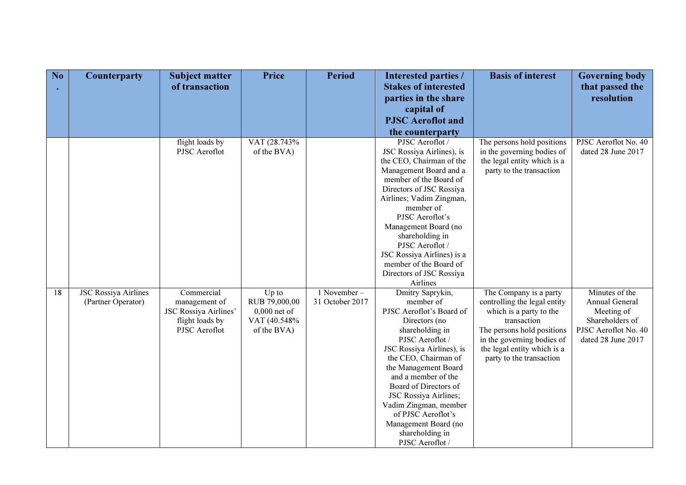| N <sub>o</sub> | <b>Counterparty</b>         | <b>Subject matter</b>            | Price                       | <b>Period</b>   | Interested parties /                                  | <b>Basis of interest</b>                                  | <b>Governing body</b>         |
|----------------|-----------------------------|----------------------------------|-----------------------------|-----------------|-------------------------------------------------------|-----------------------------------------------------------|-------------------------------|
|                |                             | of transaction                   |                             |                 | <b>Stakes of interested</b>                           |                                                           | that passed the               |
|                |                             |                                  |                             |                 | parties in the share                                  |                                                           | resolution                    |
|                |                             |                                  |                             |                 | capital of                                            |                                                           |                               |
|                |                             |                                  |                             |                 | <b>PJSC</b> Aeroflot and                              |                                                           |                               |
|                |                             |                                  |                             |                 | the counterparty                                      |                                                           |                               |
|                |                             | flight loads by                  | VAT (28.743%                |                 | PJSC Aeroflot /                                       | The persons hold positions                                | PJSC Aeroflot No. 40          |
|                |                             | PJSC Aeroflot                    | of the BVA)                 |                 | JSC Rossiya Airlines), is<br>the CEO, Chairman of the | in the governing bodies of<br>the legal entity which is a | dated 28 June 2017            |
|                |                             |                                  |                             |                 | Management Board and a                                | party to the transaction                                  |                               |
|                |                             |                                  |                             |                 | member of the Board of                                |                                                           |                               |
|                |                             |                                  |                             |                 | Directors of JSC Rossiya                              |                                                           |                               |
|                |                             |                                  |                             |                 | Airlines; Vadim Zingman,                              |                                                           |                               |
|                |                             |                                  |                             |                 | member of                                             |                                                           |                               |
|                |                             |                                  |                             |                 | PJSC Aeroflot's                                       |                                                           |                               |
|                |                             |                                  |                             |                 | Management Board (no                                  |                                                           |                               |
|                |                             |                                  |                             |                 | shareholding in<br>PJSC Aeroflot /                    |                                                           |                               |
|                |                             |                                  |                             |                 | JSC Rossiya Airlines) is a                            |                                                           |                               |
|                |                             |                                  |                             |                 | member of the Board of                                |                                                           |                               |
|                |                             |                                  |                             |                 | Directors of JSC Rossiya                              |                                                           |                               |
|                |                             |                                  |                             |                 | Airlines                                              |                                                           |                               |
| 18             | <b>JSC Rossiya Airlines</b> | Commercial                       | $Up$ to                     | $1$ November –  | Dmitry Saprykin,                                      | The Company is a party                                    | Minutes of the                |
|                | (Partner Operator)          | management of                    | RUB 79,000,00               | 31 October 2017 | member of                                             | controlling the legal entity                              | Annual General                |
|                |                             | JSC Rossiya Airlines'            | $0,000$ net of              |                 | PJSC Aeroflot's Board of                              | which is a party to the<br>transaction                    | Meeting of<br>Shareholders of |
|                |                             | flight loads by<br>PJSC Aeroflot | VAT (40.548%<br>of the BVA) |                 | Directors (no<br>shareholding in                      | The persons hold positions                                | PJSC Aeroflot No. 40          |
|                |                             |                                  |                             |                 | PJSC Aeroflot /                                       | in the governing bodies of                                | dated 28 June 2017            |
|                |                             |                                  |                             |                 | JSC Rossiya Airlines), is                             | the legal entity which is a                               |                               |
|                |                             |                                  |                             |                 | the CEO, Chairman of                                  | party to the transaction                                  |                               |
|                |                             |                                  |                             |                 | the Management Board                                  |                                                           |                               |
|                |                             |                                  |                             |                 | and a member of the                                   |                                                           |                               |
|                |                             |                                  |                             |                 | Board of Directors of                                 |                                                           |                               |
|                |                             |                                  |                             |                 | JSC Rossiya Airlines;<br>Vadim Zingman, member        |                                                           |                               |
|                |                             |                                  |                             |                 | of PJSC Aeroflot's                                    |                                                           |                               |
|                |                             |                                  |                             |                 | Management Board (no                                  |                                                           |                               |
|                |                             |                                  |                             |                 | shareholding in                                       |                                                           |                               |
|                |                             |                                  |                             |                 | PJSC Aeroflot /                                       |                                                           |                               |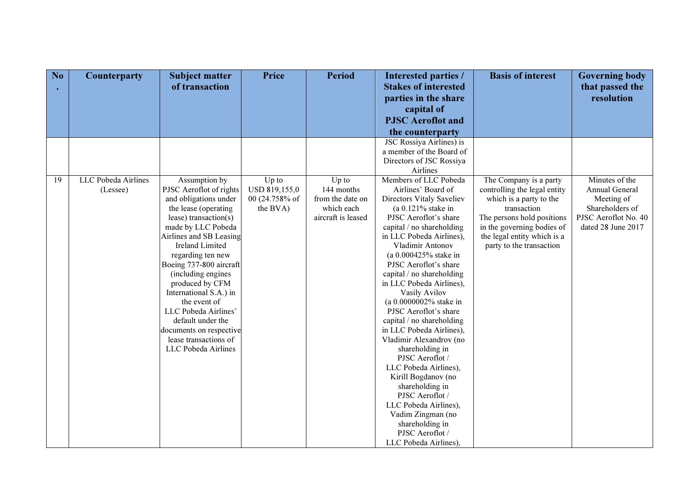| No | Counterparty        | <b>Subject matter</b>                            | Price          | <b>Period</b>      | Interested parties /                            | <b>Basis of interest</b>     | <b>Governing body</b> |
|----|---------------------|--------------------------------------------------|----------------|--------------------|-------------------------------------------------|------------------------------|-----------------------|
|    |                     | of transaction                                   |                |                    | <b>Stakes of interested</b>                     |                              | that passed the       |
|    |                     |                                                  |                |                    | parties in the share                            |                              | resolution            |
|    |                     |                                                  |                |                    | capital of                                      |                              |                       |
|    |                     |                                                  |                |                    | <b>PJSC</b> Aeroflot and                        |                              |                       |
|    |                     |                                                  |                |                    | the counterparty                                |                              |                       |
|    |                     |                                                  |                |                    | JSC Rossiya Airlines) is                        |                              |                       |
|    |                     |                                                  |                |                    | a member of the Board of                        |                              |                       |
|    |                     |                                                  |                |                    | Directors of JSC Rossiya                        |                              |                       |
|    |                     |                                                  |                |                    | Airlines                                        |                              |                       |
| 19 | LLC Pobeda Airlines | Assumption by                                    | Up to          | Up to              | Members of LLC Pobeda                           | The Company is a party       | Minutes of the        |
|    | (Lessee)            | PJSC Aeroflot of rights                          | USD 819,155,0  | 144 months         | Airlines' Board of                              | controlling the legal entity | Annual General        |
|    |                     | and obligations under                            | 00 (24.758% of | from the date on   | Directors Vitaly Saveliev                       | which is a party to the      | Meeting of            |
|    |                     | the lease (operating                             | the BVA)       | which each         | (a $0.121\%$ stake in                           | transaction                  | Shareholders of       |
|    |                     | lease) transaction( $s$ )                        |                | aircraft is leased | PJSC Aeroflot's share                           | The persons hold positions   | PJSC Aeroflot No. 40  |
|    |                     | made by LLC Pobeda                               |                |                    | capital / no shareholding                       | in the governing bodies of   | dated 28 June 2017    |
|    |                     | Airlines and SB Leasing                          |                |                    | in LLC Pobeda Airlines),                        | the legal entity which is a  |                       |
|    |                     | <b>Ireland Limited</b>                           |                |                    | Vladimir Antonov                                | party to the transaction     |                       |
|    |                     | regarding ten new                                |                |                    | (a 0.000425% stake in                           |                              |                       |
|    |                     | Boeing 737-800 aircraft                          |                |                    | PJSC Aeroflot's share                           |                              |                       |
|    |                     | (including engines                               |                |                    | capital / no shareholding                       |                              |                       |
|    |                     | produced by CFM                                  |                |                    | in LLC Pobeda Airlines),                        |                              |                       |
|    |                     | International S.A.) in                           |                |                    | Vasily Avilov                                   |                              |                       |
|    |                     | the event of<br>LLC Pobeda Airlines'             |                |                    | (a 0.0000002% stake in<br>PJSC Aeroflot's share |                              |                       |
|    |                     | default under the                                |                |                    | capital / no shareholding                       |                              |                       |
|    |                     |                                                  |                |                    | in LLC Pobeda Airlines),                        |                              |                       |
|    |                     | documents on respective<br>lease transactions of |                |                    | Vladimir Alexandrov (no                         |                              |                       |
|    |                     | LLC Pobeda Airlines                              |                |                    | shareholding in                                 |                              |                       |
|    |                     |                                                  |                |                    | PJSC Aeroflot /                                 |                              |                       |
|    |                     |                                                  |                |                    | LLC Pobeda Airlines),                           |                              |                       |
|    |                     |                                                  |                |                    | Kirill Bogdanov (no                             |                              |                       |
|    |                     |                                                  |                |                    | shareholding in                                 |                              |                       |
|    |                     |                                                  |                |                    | PJSC Aeroflot /                                 |                              |                       |
|    |                     |                                                  |                |                    | LLC Pobeda Airlines),                           |                              |                       |
|    |                     |                                                  |                |                    | Vadim Zingman (no                               |                              |                       |
|    |                     |                                                  |                |                    | shareholding in                                 |                              |                       |
|    |                     |                                                  |                |                    | PJSC Aeroflot /                                 |                              |                       |
|    |                     |                                                  |                |                    | LLC Pobeda Airlines),                           |                              |                       |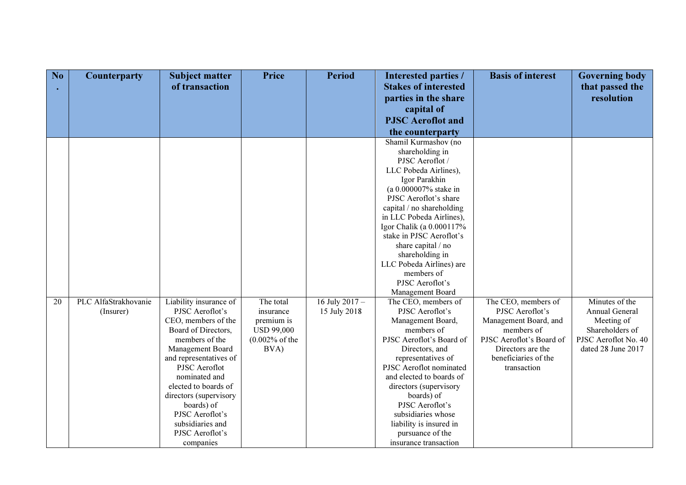| N <sub>o</sub> | <b>Counterparty</b>  | <b>Subject matter</b>  | <b>Price</b>      | <b>Period</b>  | Interested parties /                        | <b>Basis of interest</b> | <b>Governing body</b> |
|----------------|----------------------|------------------------|-------------------|----------------|---------------------------------------------|--------------------------|-----------------------|
|                |                      | of transaction         |                   |                | <b>Stakes of interested</b>                 |                          | that passed the       |
|                |                      |                        |                   |                | parties in the share                        |                          | resolution            |
|                |                      |                        |                   |                | capital of                                  |                          |                       |
|                |                      |                        |                   |                | <b>PJSC</b> Aeroflot and                    |                          |                       |
|                |                      |                        |                   |                | the counterparty                            |                          |                       |
|                |                      |                        |                   |                | Shamil Kurmashov (no                        |                          |                       |
|                |                      |                        |                   |                | shareholding in                             |                          |                       |
|                |                      |                        |                   |                | PJSC Aeroflot /                             |                          |                       |
|                |                      |                        |                   |                | LLC Pobeda Airlines),                       |                          |                       |
|                |                      |                        |                   |                | Igor Parakhin                               |                          |                       |
|                |                      |                        |                   |                | (a 0.000007% stake in                       |                          |                       |
|                |                      |                        |                   |                | PJSC Aeroflot's share                       |                          |                       |
|                |                      |                        |                   |                | capital / no shareholding                   |                          |                       |
|                |                      |                        |                   |                | in LLC Pobeda Airlines),                    |                          |                       |
|                |                      |                        |                   |                | Igor Chalik (a 0.000117%                    |                          |                       |
|                |                      |                        |                   |                | stake in PJSC Aeroflot's                    |                          |                       |
|                |                      |                        |                   |                | share capital / no                          |                          |                       |
|                |                      |                        |                   |                | shareholding in<br>LLC Pobeda Airlines) are |                          |                       |
|                |                      |                        |                   |                | members of                                  |                          |                       |
|                |                      |                        |                   |                | PJSC Aeroflot's                             |                          |                       |
|                |                      |                        |                   |                | Management Board                            |                          |                       |
| 20             | PLC AlfaStrakhovanie | Liability insurance of | The total         | 16 July 2017 - | The CEO, members of                         | The CEO, members of      | Minutes of the        |
|                | (Insurer)            | PJSC Aeroflot's        | insurance         | 15 July 2018   | PJSC Aeroflot's                             | PJSC Aeroflot's          | Annual General        |
|                |                      | CEO, members of the    | premium is        |                | Management Board,                           | Management Board, and    | Meeting of            |
|                |                      | Board of Directors,    | <b>USD 99,000</b> |                | members of                                  | members of               | Shareholders of       |
|                |                      | members of the         | $(0.002%$ of the  |                | PJSC Aeroflot's Board of                    | PJSC Aeroflot's Board of | PJSC Aeroflot No. 40  |
|                |                      | Management Board       | BVA)              |                | Directors, and                              | Directors are the        | dated 28 June 2017    |
|                |                      | and representatives of |                   |                | representatives of                          | beneficiaries of the     |                       |
|                |                      | PJSC Aeroflot          |                   |                | PJSC Aeroflot nominated                     | transaction              |                       |
|                |                      | nominated and          |                   |                | and elected to boards of                    |                          |                       |
|                |                      | elected to boards of   |                   |                | directors (supervisory                      |                          |                       |
|                |                      | directors (supervisory |                   |                | boards) of                                  |                          |                       |
|                |                      | boards) of             |                   |                | PJSC Aeroflot's                             |                          |                       |
|                |                      | PJSC Aeroflot's        |                   |                | subsidiaries whose                          |                          |                       |
|                |                      | subsidiaries and       |                   |                | liability is insured in                     |                          |                       |
|                |                      | PJSC Aeroflot's        |                   |                | pursuance of the                            |                          |                       |
|                |                      | companies              |                   |                | insurance transaction                       |                          |                       |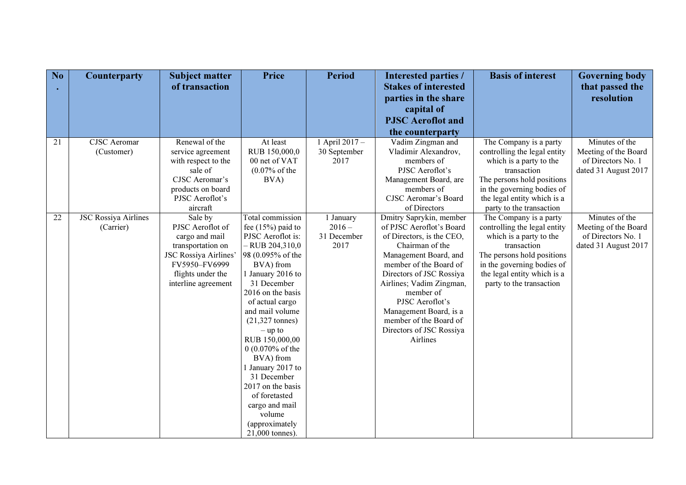| N <sub>o</sub> | Counterparty                | <b>Subject matter</b>       | <b>Price</b>                       | <b>Period</b>  | Interested parties /                                | <b>Basis of interest</b>     | <b>Governing body</b>         |
|----------------|-----------------------------|-----------------------------|------------------------------------|----------------|-----------------------------------------------------|------------------------------|-------------------------------|
|                |                             | of transaction              |                                    |                | <b>Stakes of interested</b><br>parties in the share |                              | that passed the<br>resolution |
|                |                             |                             |                                    |                | capital of                                          |                              |                               |
|                |                             |                             |                                    |                | <b>PJSC</b> Aeroflot and                            |                              |                               |
|                |                             |                             |                                    |                | the counterparty                                    |                              |                               |
| 21             | <b>CJSC</b> Aeromar         | Renewal of the              | At least                           | 1 April 2017 - | Vadim Zingman and                                   | The Company is a party       | Minutes of the                |
|                | (Customer)                  | service agreement           | RUB 150,000,0                      | 30 September   | Vladimir Alexandrov,                                | controlling the legal entity | Meeting of the Board          |
|                |                             | with respect to the         | 00 net of VAT                      | 2017           | members of                                          | which is a party to the      | of Directors No. 1            |
|                |                             | sale of                     | $(0.07% \text{ of the}$            |                | PJSC Aeroflot's                                     | transaction                  | dated 31 August 2017          |
|                |                             | CJSC Aeromar's              | BVA)                               |                | Management Board, are                               | The persons hold positions   |                               |
|                |                             | products on board           |                                    |                | members of                                          | in the governing bodies of   |                               |
|                |                             | PJSC Aeroflot's             |                                    |                | <b>CJSC Aeromar's Board</b>                         | the legal entity which is a  |                               |
|                |                             | aircraft                    |                                    |                | of Directors                                        | party to the transaction     |                               |
| 22             | <b>JSC Rossiya Airlines</b> | Sale by                     | Total commission                   | 1 January      | Dmitry Saprykin, member                             | The Company is a party       | Minutes of the                |
|                | (Carrier)                   | PJSC Aeroflot of            | fee $(15%)$ paid to                | $2016 -$       | of PJSC Aeroflot's Board                            | controlling the legal entity | Meeting of the Board          |
|                |                             | cargo and mail              | PJSC Aeroflot is:                  | 31 December    | of Directors, is the CEO,                           | which is a party to the      | of Directors No. 1            |
|                |                             | transportation on           | $-$ RUB 204,310,0                  | 2017           | Chairman of the                                     | transaction                  | dated 31 August 2017          |
|                |                             | <b>JSC Rossiya Airlines</b> | 98 (0.095% of the                  |                | Management Board, and                               | The persons hold positions   |                               |
|                |                             | FV5950-FV6999               | BVA) from                          |                | member of the Board of                              | in the governing bodies of   |                               |
|                |                             | flights under the           | 1 January 2016 to                  |                | Directors of JSC Rossiya                            | the legal entity which is a  |                               |
|                |                             | interline agreement         | 31 December                        |                | Airlines; Vadim Zingman,                            | party to the transaction     |                               |
|                |                             |                             | 2016 on the basis                  |                | member of<br>PJSC Aeroflot's                        |                              |                               |
|                |                             |                             | of actual cargo<br>and mail volume |                |                                                     |                              |                               |
|                |                             |                             | $(21,327 \text{ tonnes})$          |                | Management Board, is a<br>member of the Board of    |                              |                               |
|                |                             |                             | $-$ up to                          |                | Directors of JSC Rossiya                            |                              |                               |
|                |                             |                             | RUB 150,000,00                     |                | Airlines                                            |                              |                               |
|                |                             |                             | 0 (0.070% of the                   |                |                                                     |                              |                               |
|                |                             |                             | BVA) from                          |                |                                                     |                              |                               |
|                |                             |                             | 1 January 2017 to                  |                |                                                     |                              |                               |
|                |                             |                             | 31 December                        |                |                                                     |                              |                               |
|                |                             |                             | 2017 on the basis                  |                |                                                     |                              |                               |
|                |                             |                             | of foretasted                      |                |                                                     |                              |                               |
|                |                             |                             | cargo and mail                     |                |                                                     |                              |                               |
|                |                             |                             | volume                             |                |                                                     |                              |                               |
|                |                             |                             | (approximately                     |                |                                                     |                              |                               |
|                |                             |                             | 21,000 tonnes)                     |                |                                                     |                              |                               |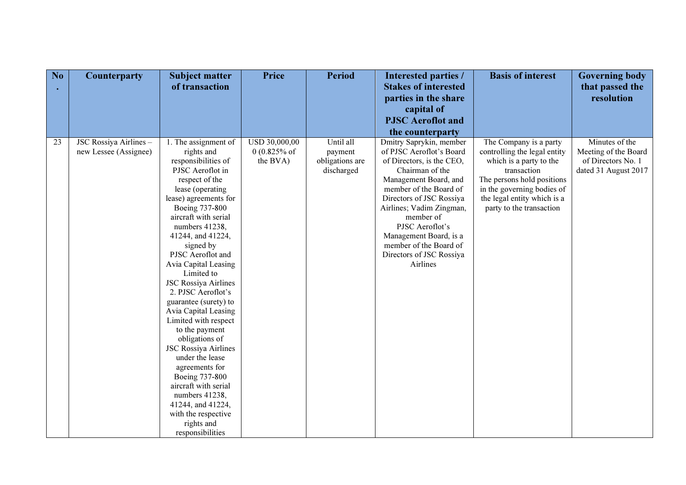| No | Counterparty           | <b>Subject matter</b>              | Price                   | <b>Period</b>   | Interested parties /        | <b>Basis of interest</b>     | <b>Governing body</b> |
|----|------------------------|------------------------------------|-------------------------|-----------------|-----------------------------|------------------------------|-----------------------|
|    |                        | of transaction                     |                         |                 | <b>Stakes of interested</b> |                              | that passed the       |
|    |                        |                                    |                         |                 | parties in the share        |                              | resolution            |
|    |                        |                                    |                         |                 | capital of                  |                              |                       |
|    |                        |                                    |                         |                 | <b>PJSC</b> Aeroflot and    |                              |                       |
|    |                        |                                    |                         |                 | the counterparty            |                              |                       |
| 23 | JSC Rossiya Airlines - | 1. The assignment of               | USD 30,000,00           | Until all       | Dmitry Saprykin, member     | The Company is a party       | Minutes of the        |
|    | new Lessee (Assignee)  | rights and                         | $0(0.825\% \text{ of }$ | payment         | of PJSC Aeroflot's Board    | controlling the legal entity | Meeting of the Board  |
|    |                        | responsibilities of                | the BVA)                | obligations are | of Directors, is the CEO,   | which is a party to the      | of Directors No. 1    |
|    |                        | PJSC Aeroflot in                   |                         | discharged      | Chairman of the             | transaction                  | dated 31 August 2017  |
|    |                        | respect of the                     |                         |                 | Management Board, and       | The persons hold positions   |                       |
|    |                        | lease (operating                   |                         |                 | member of the Board of      | in the governing bodies of   |                       |
|    |                        | lease) agreements for              |                         |                 | Directors of JSC Rossiya    | the legal entity which is a  |                       |
|    |                        | Boeing 737-800                     |                         |                 | Airlines; Vadim Zingman,    | party to the transaction     |                       |
|    |                        | aircraft with serial               |                         |                 | member of                   |                              |                       |
|    |                        | numbers 41238,                     |                         |                 | PJSC Aeroflot's             |                              |                       |
|    |                        | 41244, and 41224,                  |                         |                 | Management Board, is a      |                              |                       |
|    |                        | signed by                          |                         |                 | member of the Board of      |                              |                       |
|    |                        | PJSC Aeroflot and                  |                         |                 | Directors of JSC Rossiya    |                              |                       |
|    |                        | Avia Capital Leasing<br>Limited to |                         |                 | Airlines                    |                              |                       |
|    |                        | <b>JSC Rossiya Airlines</b>        |                         |                 |                             |                              |                       |
|    |                        | 2. PJSC Aeroflot's                 |                         |                 |                             |                              |                       |
|    |                        | guarantee (surety) to              |                         |                 |                             |                              |                       |
|    |                        | Avia Capital Leasing               |                         |                 |                             |                              |                       |
|    |                        | Limited with respect               |                         |                 |                             |                              |                       |
|    |                        | to the payment                     |                         |                 |                             |                              |                       |
|    |                        | obligations of                     |                         |                 |                             |                              |                       |
|    |                        | <b>JSC Rossiya Airlines</b>        |                         |                 |                             |                              |                       |
|    |                        | under the lease                    |                         |                 |                             |                              |                       |
|    |                        | agreements for                     |                         |                 |                             |                              |                       |
|    |                        | Boeing 737-800                     |                         |                 |                             |                              |                       |
|    |                        | aircraft with serial               |                         |                 |                             |                              |                       |
|    |                        | numbers 41238,                     |                         |                 |                             |                              |                       |
|    |                        | 41244, and 41224,                  |                         |                 |                             |                              |                       |
|    |                        | with the respective                |                         |                 |                             |                              |                       |
|    |                        | rights and                         |                         |                 |                             |                              |                       |
|    |                        | responsibilities                   |                         |                 |                             |                              |                       |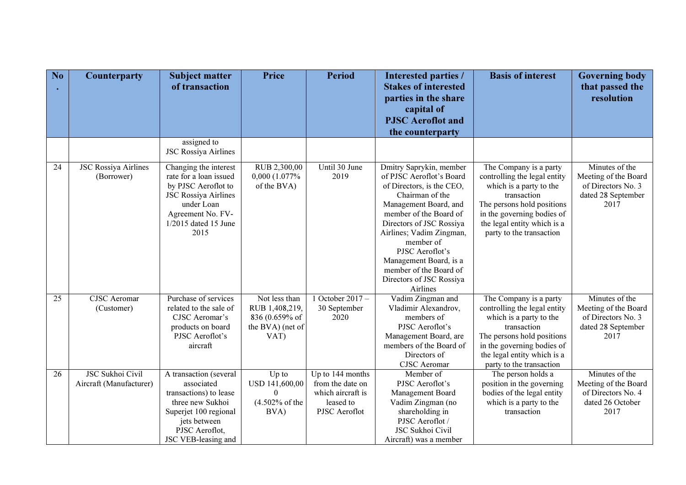| No | <b>Counterparty</b>                                | <b>Subject matter</b><br>of transaction                                                                                                                                    | <b>Price</b>                                                                  | <b>Period</b>                                                                           | <b>Interested parties /</b><br><b>Stakes of interested</b>                                                                                                                                                                                                                                                                                 | <b>Basis of interest</b>                                                                                                                                                                                                | <b>Governing body</b><br>that passed the                                                   |
|----|----------------------------------------------------|----------------------------------------------------------------------------------------------------------------------------------------------------------------------------|-------------------------------------------------------------------------------|-----------------------------------------------------------------------------------------|--------------------------------------------------------------------------------------------------------------------------------------------------------------------------------------------------------------------------------------------------------------------------------------------------------------------------------------------|-------------------------------------------------------------------------------------------------------------------------------------------------------------------------------------------------------------------------|--------------------------------------------------------------------------------------------|
|    |                                                    |                                                                                                                                                                            |                                                                               |                                                                                         | parties in the share                                                                                                                                                                                                                                                                                                                       |                                                                                                                                                                                                                         | resolution                                                                                 |
|    |                                                    |                                                                                                                                                                            |                                                                               |                                                                                         | capital of                                                                                                                                                                                                                                                                                                                                 |                                                                                                                                                                                                                         |                                                                                            |
|    |                                                    |                                                                                                                                                                            |                                                                               |                                                                                         | <b>PJSC</b> Aeroflot and                                                                                                                                                                                                                                                                                                                   |                                                                                                                                                                                                                         |                                                                                            |
|    |                                                    |                                                                                                                                                                            |                                                                               |                                                                                         | the counterparty                                                                                                                                                                                                                                                                                                                           |                                                                                                                                                                                                                         |                                                                                            |
|    |                                                    | assigned to<br><b>JSC Rossiya Airlines</b>                                                                                                                                 |                                                                               |                                                                                         |                                                                                                                                                                                                                                                                                                                                            |                                                                                                                                                                                                                         |                                                                                            |
| 24 | <b>JSC Rossiya Airlines</b><br>(Borrower)          | Changing the interest<br>rate for a loan issued<br>by PJSC Aeroflot to<br><b>JSC Rossiya Airlines</b><br>under Loan<br>Agreement No. FV-<br>$1/2015$ dated 15 June<br>2015 | RUB 2,300,00<br>0,000 (1.077%)<br>of the BVA)                                 | Until 30 June<br>2019                                                                   | Dmitry Saprykin, member<br>of PJSC Aeroflot's Board<br>of Directors, is the CEO,<br>Chairman of the<br>Management Board, and<br>member of the Board of<br>Directors of JSC Rossiya<br>Airlines; Vadim Zingman,<br>member of<br>PJSC Aeroflot's<br>Management Board, is a<br>member of the Board of<br>Directors of JSC Rossiya<br>Airlines | The Company is a party<br>controlling the legal entity<br>which is a party to the<br>transaction<br>The persons hold positions<br>in the governing bodies of<br>the legal entity which is a<br>party to the transaction | Minutes of the<br>Meeting of the Board<br>of Directors No. 3<br>dated 28 September<br>2017 |
| 25 | <b>CJSC</b> Aeromar<br>(Customer)                  | Purchase of services<br>related to the sale of<br>CJSC Aeromar's<br>products on board<br>PJSC Aeroflot's<br>aircraft                                                       | Not less than<br>RUB 1,408,219,<br>836 (0.659% of<br>the BVA) (net of<br>VAT) | 1 October 2017 $-$<br>30 September<br>2020                                              | Vadim Zingman and<br>Vladimir Alexandrov,<br>members of<br>PJSC Aeroflot's<br>Management Board, are<br>members of the Board of<br>Directors of<br><b>CJSC</b> Aeromar                                                                                                                                                                      | The Company is a party<br>controlling the legal entity<br>which is a party to the<br>transaction<br>The persons hold positions<br>in the governing bodies of<br>the legal entity which is a<br>party to the transaction | Minutes of the<br>Meeting of the Board<br>of Directors No. 3<br>dated 28 September<br>2017 |
| 26 | <b>JSC Sukhoi Civil</b><br>Aircraft (Manufacturer) | A transaction (several<br>associated<br>transactions) to lease<br>three new Sukhoi<br>Superjet 100 regional<br>jets between<br>PJSC Aeroflot,<br>JSC VEB-leasing and       | Up to<br>USD 141,600,00<br>$\Omega$<br>$(4.502%$ of the<br>BVA)               | Up to 144 months<br>from the date on<br>which aircraft is<br>leased to<br>PJSC Aeroflot | Member of<br>PJSC Aeroflot's<br>Management Board<br>Vadim Zingman (no<br>shareholding in<br>PJSC Aeroflot /<br>JSC Sukhoi Civil<br>Aircraft) was a member                                                                                                                                                                                  | The person holds a<br>position in the governing<br>bodies of the legal entity<br>which is a party to the<br>transaction                                                                                                 | Minutes of the<br>Meeting of the Board<br>of Directors No. 4<br>dated 26 October<br>2017   |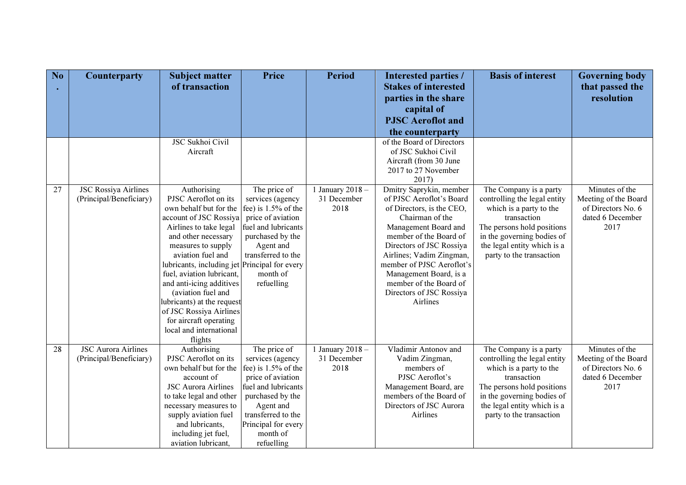| No | <b>Counterparty</b>                                    | <b>Subject matter</b>                             | <b>Price</b>                     | <b>Period</b>                   | <b>Interested parties /</b>                         | <b>Basis of interest</b>                               | <b>Governing body</b> |
|----|--------------------------------------------------------|---------------------------------------------------|----------------------------------|---------------------------------|-----------------------------------------------------|--------------------------------------------------------|-----------------------|
|    |                                                        | of transaction                                    |                                  |                                 | <b>Stakes of interested</b>                         |                                                        | that passed the       |
|    |                                                        |                                                   |                                  |                                 | parties in the share                                |                                                        | resolution            |
|    |                                                        |                                                   |                                  |                                 | capital of                                          |                                                        |                       |
|    |                                                        |                                                   |                                  |                                 | <b>PJSC</b> Aeroflot and                            |                                                        |                       |
|    |                                                        |                                                   |                                  |                                 | the counterparty                                    |                                                        |                       |
|    |                                                        | <b>JSC Sukhoi Civil</b>                           |                                  |                                 | of the Board of Directors                           |                                                        |                       |
|    |                                                        | Aircraft                                          |                                  |                                 | of JSC Sukhoi Civil                                 |                                                        |                       |
|    |                                                        |                                                   |                                  |                                 | Aircraft (from 30 June                              |                                                        |                       |
|    |                                                        |                                                   |                                  |                                 | 2017 to 27 November                                 |                                                        |                       |
|    |                                                        |                                                   |                                  |                                 | 2017)                                               |                                                        | Minutes of the        |
| 27 | <b>JSC Rossiya Airlines</b><br>(Principal/Beneficiary) | Authorising<br>PJSC Aeroflot on its               | The price of<br>services (agency | 1 January 2018 -<br>31 December | Dmitry Saprykin, member<br>of PJSC Aeroflot's Board | The Company is a party<br>controlling the legal entity | Meeting of the Board  |
|    |                                                        | own behalf but for the                            | fee) is $1.5%$ of the            | 2018                            | of Directors, is the CEO,                           | which is a party to the                                | of Directors No. 6    |
|    |                                                        | account of JSC Rossiya                            | price of aviation                |                                 | Chairman of the                                     | transaction                                            | dated 6 December      |
|    |                                                        | Airlines to take legal                            | fuel and lubricants              |                                 | Management Board and                                | The persons hold positions                             | 2017                  |
|    |                                                        | and other necessary                               | purchased by the                 |                                 | member of the Board of                              | in the governing bodies of                             |                       |
|    |                                                        | measures to supply                                | Agent and                        |                                 | Directors of JSC Rossiya                            | the legal entity which is a                            |                       |
|    |                                                        | aviation fuel and                                 | transferred to the               |                                 | Airlines; Vadim Zingman,                            | party to the transaction                               |                       |
|    |                                                        | lubricants, including jet Principal for every     |                                  |                                 | member of PJSC Aeroflot's                           |                                                        |                       |
|    |                                                        | fuel, aviation lubricant,                         | month of                         |                                 | Management Board, is a                              |                                                        |                       |
|    |                                                        | and anti-icing additives                          | refuelling                       |                                 | member of the Board of                              |                                                        |                       |
|    |                                                        | (aviation fuel and                                |                                  |                                 | Directors of JSC Rossiya                            |                                                        |                       |
|    |                                                        | lubricants) at the request                        |                                  |                                 | Airlines                                            |                                                        |                       |
|    |                                                        | of JSC Rossiya Airlines                           |                                  |                                 |                                                     |                                                        |                       |
|    |                                                        | for aircraft operating<br>local and international |                                  |                                 |                                                     |                                                        |                       |
|    |                                                        | flights                                           |                                  |                                 |                                                     |                                                        |                       |
| 28 | <b>JSC Aurora Airlines</b>                             | Authorising                                       | The price of                     | 1 January 2018 -                | Vladimir Antonov and                                | The Company is a party                                 | Minutes of the        |
|    | (Principal/Beneficiary)                                | PJSC Aeroflot on its                              | services (agency                 | 31 December                     | Vadim Zingman,                                      | controlling the legal entity                           | Meeting of the Board  |
|    |                                                        | own behalf but for the                            | fee) is $1.5%$ of the            | 2018                            | members of                                          | which is a party to the                                | of Directors No. 6    |
|    |                                                        | account of                                        | price of aviation                |                                 | PJSC Aeroflot's                                     | transaction                                            | dated 6 December      |
|    |                                                        | <b>JSC Aurora Airlines</b>                        | fuel and lubricants              |                                 | Management Board, are                               | The persons hold positions                             | 2017                  |
|    |                                                        | to take legal and other                           | purchased by the                 |                                 | members of the Board of                             | in the governing bodies of                             |                       |
|    |                                                        | necessary measures to                             | Agent and                        |                                 | Directors of JSC Aurora                             | the legal entity which is a                            |                       |
|    |                                                        | supply aviation fuel                              | transferred to the               |                                 | Airlines                                            | party to the transaction                               |                       |
|    |                                                        | and lubricants,                                   | Principal for every              |                                 |                                                     |                                                        |                       |
|    |                                                        | including jet fuel,                               | month of                         |                                 |                                                     |                                                        |                       |
|    |                                                        | aviation lubricant,                               | refuelling                       |                                 |                                                     |                                                        |                       |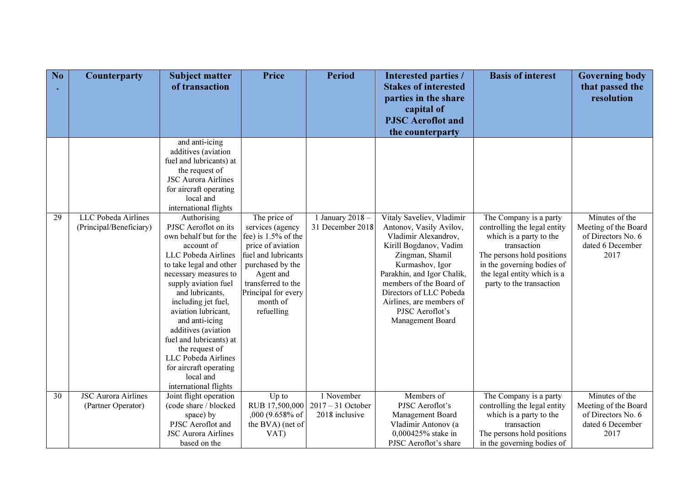| N <sub>o</sub> | <b>Counterparty</b>        | <b>Subject matter</b><br>of transaction         | <b>Price</b>                     | <b>Period</b>                        | Interested parties /<br><b>Stakes of interested</b>  | <b>Basis of interest</b>                               | <b>Governing body</b><br>that passed the |
|----------------|----------------------------|-------------------------------------------------|----------------------------------|--------------------------------------|------------------------------------------------------|--------------------------------------------------------|------------------------------------------|
|                |                            |                                                 |                                  |                                      | parties in the share                                 |                                                        | resolution                               |
|                |                            |                                                 |                                  |                                      | capital of                                           |                                                        |                                          |
|                |                            |                                                 |                                  |                                      | <b>PJSC</b> Aeroflot and                             |                                                        |                                          |
|                |                            | and anti-icing                                  |                                  |                                      | the counterparty                                     |                                                        |                                          |
|                |                            | additives (aviation                             |                                  |                                      |                                                      |                                                        |                                          |
|                |                            | fuel and lubricants) at                         |                                  |                                      |                                                      |                                                        |                                          |
|                |                            | the request of                                  |                                  |                                      |                                                      |                                                        |                                          |
|                |                            | <b>JSC Aurora Airlines</b>                      |                                  |                                      |                                                      |                                                        |                                          |
|                |                            | for aircraft operating                          |                                  |                                      |                                                      |                                                        |                                          |
|                |                            | local and                                       |                                  |                                      |                                                      |                                                        |                                          |
|                | LLC Pobeda Airlines        | international flights                           |                                  |                                      |                                                      |                                                        | Minutes of the                           |
| 29             | (Principal/Beneficiary)    | Authorising<br>PJSC Aeroflot on its             | The price of<br>services (agency | 1 January 2018 -<br>31 December 2018 | Vitaly Saveliev, Vladimir<br>Antonov, Vasily Avilov, | The Company is a party<br>controlling the legal entity | Meeting of the Board                     |
|                |                            | own behalf but for the                          | fee) is $1.5%$ of the            |                                      | Vladimir Alexandrov,                                 | which is a party to the                                | of Directors No. 6                       |
|                |                            | account of                                      | price of aviation                |                                      | Kirill Bogdanov, Vadim                               | transaction                                            | dated 6 December                         |
|                |                            | LLC Pobeda Airlines                             | fuel and lubricants              |                                      | Zingman, Shamil                                      | The persons hold positions                             | 2017                                     |
|                |                            | to take legal and other                         | purchased by the                 |                                      | Kurmashov, Igor                                      | in the governing bodies of                             |                                          |
|                |                            | necessary measures to                           | Agent and                        |                                      | Parakhin, and Igor Chalik,                           | the legal entity which is a                            |                                          |
|                |                            | supply aviation fuel                            | transferred to the               |                                      | members of the Board of                              | party to the transaction                               |                                          |
|                |                            | and lubricants,                                 | Principal for every              |                                      | Directors of LLC Pobeda                              |                                                        |                                          |
|                |                            | including jet fuel,                             | month of                         |                                      | Airlines, are members of                             |                                                        |                                          |
|                |                            | aviation lubricant,                             | refuelling                       |                                      | PJSC Aeroflot's                                      |                                                        |                                          |
|                |                            | and anti-icing<br>additives (aviation           |                                  |                                      | Management Board                                     |                                                        |                                          |
|                |                            | fuel and lubricants) at                         |                                  |                                      |                                                      |                                                        |                                          |
|                |                            | the request of                                  |                                  |                                      |                                                      |                                                        |                                          |
|                |                            | LLC Pobeda Airlines                             |                                  |                                      |                                                      |                                                        |                                          |
|                |                            | for aircraft operating                          |                                  |                                      |                                                      |                                                        |                                          |
|                |                            | local and                                       |                                  |                                      |                                                      |                                                        |                                          |
|                |                            | international flights                           |                                  |                                      |                                                      |                                                        |                                          |
| 30             | <b>JSC Aurora Airlines</b> | Joint flight operation                          | Up to                            | 1 November                           | Members of                                           | The Company is a party                                 | Minutes of the                           |
|                | (Partner Operator)         | (code share / blocked                           | RUB 17,500,000                   | $2017 - 31$ October                  | PJSC Aeroflot's                                      | controlling the legal entity                           | Meeting of the Board                     |
|                |                            | space) by                                       | ,000 (9.658% of                  | 2018 inclusive                       | Management Board                                     | which is a party to the                                | of Directors No. 6                       |
|                |                            | PJSC Aeroflot and<br><b>JSC Aurora Airlines</b> | the BVA) (net of<br>VAT)         |                                      | Vladimir Antonov (a<br>0,000425% stake in            | transaction<br>The persons hold positions              | dated 6 December<br>2017                 |
|                |                            | based on the                                    |                                  |                                      | PJSC Aeroflot's share                                | in the governing bodies of                             |                                          |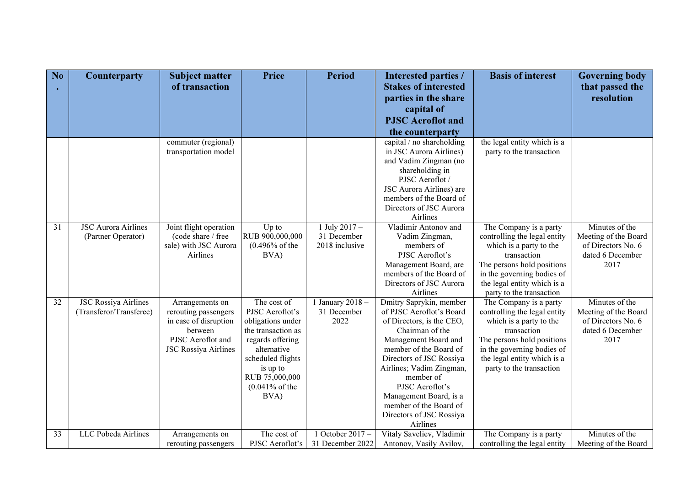| No | Counterparty                | <b>Subject matter</b>       | Price                         | <b>Period</b>    | Interested parties /                                 | <b>Basis of interest</b>                                | <b>Governing body</b>    |
|----|-----------------------------|-----------------------------|-------------------------------|------------------|------------------------------------------------------|---------------------------------------------------------|--------------------------|
|    |                             | of transaction              |                               |                  | <b>Stakes of interested</b>                          |                                                         | that passed the          |
|    |                             |                             |                               |                  | parties in the share                                 |                                                         | resolution               |
|    |                             |                             |                               |                  | capital of                                           |                                                         |                          |
|    |                             |                             |                               |                  | <b>PJSC</b> Aeroflot and                             |                                                         |                          |
|    |                             |                             |                               |                  | the counterparty                                     |                                                         |                          |
|    |                             | commuter (regional)         |                               |                  | capital / no shareholding                            | the legal entity which is a                             |                          |
|    |                             | transportation model        |                               |                  | in JSC Aurora Airlines)                              | party to the transaction                                |                          |
|    |                             |                             |                               |                  | and Vadim Zingman (no                                |                                                         |                          |
|    |                             |                             |                               |                  | shareholding in<br>PJSC Aeroflot /                   |                                                         |                          |
|    |                             |                             |                               |                  | JSC Aurora Airlines) are                             |                                                         |                          |
|    |                             |                             |                               |                  | members of the Board of                              |                                                         |                          |
|    |                             |                             |                               |                  | Directors of JSC Aurora                              |                                                         |                          |
|    |                             |                             |                               |                  | Airlines                                             |                                                         |                          |
| 31 | <b>JSC Aurora Airlines</b>  | Joint flight operation      | Up to                         | 1 July $2017 -$  | Vladimir Antonov and                                 | The Company is a party                                  | Minutes of the           |
|    | (Partner Operator)          | (code share / free          | RUB 900,000,000               | 31 December      | Vadim Zingman,                                       | controlling the legal entity                            | Meeting of the Board     |
|    |                             | sale) with JSC Aurora       | $(0.496\% \text{ of the}$     | 2018 inclusive   | members of                                           | which is a party to the                                 | of Directors No. 6       |
|    |                             | Airlines                    | BVA)                          |                  | PJSC Aeroflot's                                      | transaction<br>The persons hold positions               | dated 6 December<br>2017 |
|    |                             |                             |                               |                  | Management Board, are<br>members of the Board of     | in the governing bodies of                              |                          |
|    |                             |                             |                               |                  | Directors of JSC Aurora                              | the legal entity which is a                             |                          |
|    |                             |                             |                               |                  | Airlines                                             | party to the transaction                                |                          |
| 32 | <b>JSC Rossiya Airlines</b> | Arrangements on             | The cost of                   | 1 January 2018 - | Dmitry Saprykin, member                              | The Company is a party                                  | Minutes of the           |
|    | (Transferor/Transferee)     | rerouting passengers        | PJSC Aeroflot's               | 31 December      | of PJSC Aeroflot's Board                             | controlling the legal entity                            | Meeting of the Board     |
|    |                             | in case of disruption       | obligations under             | 2022             | of Directors, is the CEO,                            | which is a party to the                                 | of Directors No. 6       |
|    |                             | between                     | the transaction as            |                  | Chairman of the                                      | transaction                                             | dated 6 December         |
|    |                             | PJSC Aeroflot and           | regards offering              |                  | Management Board and                                 | The persons hold positions                              | 2017                     |
|    |                             | <b>JSC Rossiya Airlines</b> | alternative                   |                  | member of the Board of                               | in the governing bodies of                              |                          |
|    |                             |                             | scheduled flights<br>is up to |                  | Directors of JSC Rossiya<br>Airlines; Vadim Zingman, | the legal entity which is a<br>party to the transaction |                          |
|    |                             |                             | RUB 75,000,000                |                  | member of                                            |                                                         |                          |
|    |                             |                             | $(0.041\% \text{ of the}$     |                  | PJSC Aeroflot's                                      |                                                         |                          |
|    |                             |                             | BVA)                          |                  | Management Board, is a                               |                                                         |                          |
|    |                             |                             |                               |                  | member of the Board of                               |                                                         |                          |
|    |                             |                             |                               |                  | Directors of JSC Rossiya                             |                                                         |                          |
|    |                             |                             |                               |                  | Airlines                                             |                                                         |                          |
| 33 | LLC Pobeda Airlines         | Arrangements on             | The cost of                   | 1 October 2017 - | Vitaly Saveliev, Vladimir                            | The Company is a party                                  | Minutes of the           |
|    |                             | rerouting passengers        | PJSC Aeroflot's               | 31 December 2022 | Antonov, Vasily Avilov,                              | controlling the legal entity                            | Meeting of the Board     |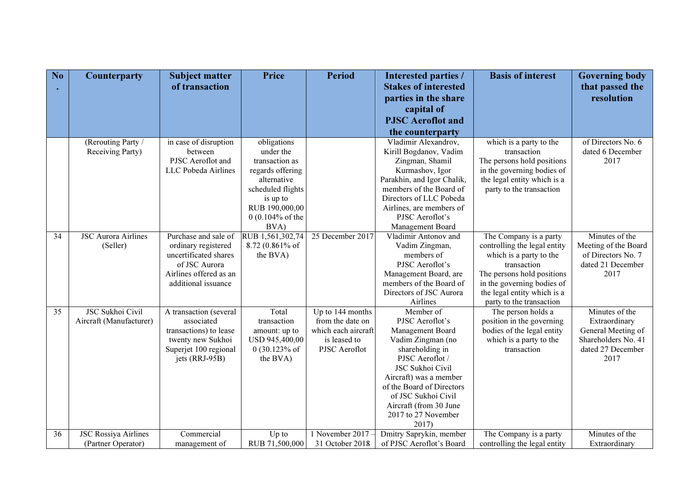| No              | <b>Counterparty</b>         | <b>Subject matter</b>                  | Price                      | <b>Period</b>       | <b>Interested parties /</b>                      | <b>Basis of interest</b>                                  | <b>Governing body</b> |
|-----------------|-----------------------------|----------------------------------------|----------------------------|---------------------|--------------------------------------------------|-----------------------------------------------------------|-----------------------|
|                 |                             | of transaction                         |                            |                     | <b>Stakes of interested</b>                      |                                                           | that passed the       |
|                 |                             |                                        |                            |                     | parties in the share                             |                                                           | resolution            |
|                 |                             |                                        |                            |                     | capital of                                       |                                                           |                       |
|                 |                             |                                        |                            |                     | <b>PJSC</b> Aeroflot and                         |                                                           |                       |
|                 |                             |                                        |                            |                     | the counterparty                                 |                                                           |                       |
|                 | (Rerouting Party /          | in case of disruption                  | obligations                |                     | Vladimir Alexandrov,                             | which is a party to the                                   | of Directors No. 6    |
|                 | Receiving Party)            | between                                | under the                  |                     | Kirill Bogdanov, Vadim                           | transaction                                               | dated 6 December      |
|                 |                             | PJSC Aeroflot and                      | transaction as             |                     | Zingman, Shamil                                  | The persons hold positions                                | 2017                  |
|                 |                             | LLC Pobeda Airlines                    | regards offering           |                     | Kurmashov, Igor                                  | in the governing bodies of                                |                       |
|                 |                             |                                        | alternative                |                     | Parakhin, and Igor Chalik,                       | the legal entity which is a                               |                       |
|                 |                             |                                        | scheduled flights          |                     | members of the Board of                          | party to the transaction                                  |                       |
|                 |                             |                                        | is up to                   |                     | Directors of LLC Pobeda                          |                                                           |                       |
|                 |                             |                                        | RUB 190,000,00             |                     | Airlines, are members of                         |                                                           |                       |
|                 |                             |                                        | $0(0.104\% \text{ of the}$ |                     | PJSC Aeroflot's                                  |                                                           |                       |
|                 |                             |                                        | BVA)                       |                     | Management Board                                 |                                                           |                       |
| $\overline{34}$ | <b>JSC Aurora Airlines</b>  | Purchase and sale of                   | RUB 1,561,302,74           | 25 December 2017    | Vladimir Antonov and                             | The Company is a party                                    | Minutes of the        |
|                 | (Seller)                    | ordinary registered                    | 8.72 (0.861% of            |                     | Vadim Zingman,                                   | controlling the legal entity                              | Meeting of the Board  |
|                 |                             | uncertificated shares<br>of JSC Aurora | the BVA)                   |                     | members of<br>PJSC Aeroflot's                    | which is a party to the                                   | of Directors No. 7    |
|                 |                             | Airlines offered as an                 |                            |                     |                                                  | transaction                                               | dated 21 December     |
|                 |                             |                                        |                            |                     | Management Board, are<br>members of the Board of | The persons hold positions                                | 2017                  |
|                 |                             | additional issuance                    |                            |                     | Directors of JSC Aurora                          | in the governing bodies of<br>the legal entity which is a |                       |
|                 |                             |                                        |                            |                     | Airlines                                         | party to the transaction                                  |                       |
| 35              | <b>JSC Sukhoi Civil</b>     | A transaction (several                 | Total                      | Up to 144 months    | Member of                                        | The person holds a                                        | Minutes of the        |
|                 | Aircraft (Manufacturer)     | associated                             | transaction                | from the date on    | PJSC Aeroflot's                                  | position in the governing                                 | Extraordinary         |
|                 |                             | transactions) to lease                 | amount: up to              | which each aircraft | Management Board                                 | bodies of the legal entity                                | General Meeting of    |
|                 |                             | twenty new Sukhoi                      | USD 945,400,00             | is leased to        | Vadim Zingman (no                                | which is a party to the                                   | Shareholders No. 41   |
|                 |                             | Superjet 100 regional                  | $0(30.123\% \text{ of }$   | PJSC Aeroflot       | shareholding in                                  | transaction                                               | dated 27 December     |
|                 |                             | jets (RRJ-95B)                         | the BVA)                   |                     | PJSC Aeroflot /                                  |                                                           | 2017                  |
|                 |                             |                                        |                            |                     | JSC Sukhoi Civil                                 |                                                           |                       |
|                 |                             |                                        |                            |                     | Aircraft) was a member                           |                                                           |                       |
|                 |                             |                                        |                            |                     | of the Board of Directors                        |                                                           |                       |
|                 |                             |                                        |                            |                     | of JSC Sukhoi Civil                              |                                                           |                       |
|                 |                             |                                        |                            |                     | Aircraft (from 30 June                           |                                                           |                       |
|                 |                             |                                        |                            |                     | 2017 to 27 November                              |                                                           |                       |
|                 |                             |                                        |                            |                     | 2017)                                            |                                                           |                       |
| 36              | <b>JSC Rossiya Airlines</b> | Commercial                             | Up to                      | 1 November 2017     | Dmitry Saprykin, member                          | The Company is a party                                    | Minutes of the        |
|                 | (Partner Operator)          | management of                          | RUB 71,500,000             | 31 October 2018     | of PJSC Aeroflot's Board                         | controlling the legal entity                              | Extraordinary         |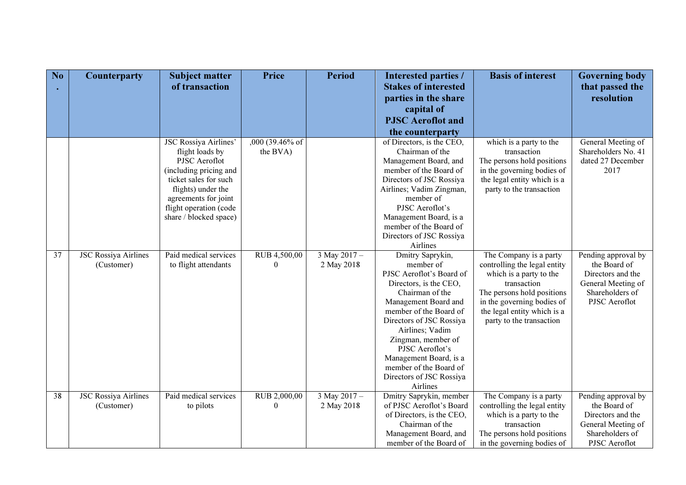| No | <b>Counterparty</b>                       | <b>Subject matter</b><br>of transaction          | <b>Price</b>             | <b>Period</b>              | Interested parties /<br><b>Stakes of interested</b>                                                                                                                                                                                                                                                  | <b>Basis of interest</b>                                                                                                                                                                                                | <b>Governing body</b><br>that passed the                                                                           |
|----|-------------------------------------------|--------------------------------------------------|--------------------------|----------------------------|------------------------------------------------------------------------------------------------------------------------------------------------------------------------------------------------------------------------------------------------------------------------------------------------------|-------------------------------------------------------------------------------------------------------------------------------------------------------------------------------------------------------------------------|--------------------------------------------------------------------------------------------------------------------|
|    |                                           |                                                  |                          |                            | parties in the share                                                                                                                                                                                                                                                                                 |                                                                                                                                                                                                                         | resolution                                                                                                         |
|    |                                           |                                                  |                          |                            | capital of<br><b>PJSC</b> Aeroflot and                                                                                                                                                                                                                                                               |                                                                                                                                                                                                                         |                                                                                                                    |
|    |                                           |                                                  |                          |                            | the counterparty                                                                                                                                                                                                                                                                                     |                                                                                                                                                                                                                         |                                                                                                                    |
|    |                                           | <b>JSC Rossiya Airlines'</b>                     | $,000(39.46\%$ of        |                            | of Directors, is the CEO,                                                                                                                                                                                                                                                                            | which is a party to the                                                                                                                                                                                                 | General Meeting of                                                                                                 |
|    |                                           | flight loads by                                  | the BVA)                 |                            | Chairman of the                                                                                                                                                                                                                                                                                      | transaction                                                                                                                                                                                                             | Shareholders No. 41                                                                                                |
|    |                                           | <b>PJSC</b> Aeroflot                             |                          |                            | Management Board, and                                                                                                                                                                                                                                                                                | The persons hold positions                                                                                                                                                                                              | dated 27 December                                                                                                  |
|    |                                           | (including pricing and                           |                          |                            | member of the Board of                                                                                                                                                                                                                                                                               | in the governing bodies of                                                                                                                                                                                              | 2017                                                                                                               |
|    |                                           | ticket sales for such                            |                          |                            | Directors of JSC Rossiya                                                                                                                                                                                                                                                                             | the legal entity which is a                                                                                                                                                                                             |                                                                                                                    |
|    |                                           | flights) under the                               |                          |                            | Airlines; Vadim Zingman,                                                                                                                                                                                                                                                                             | party to the transaction                                                                                                                                                                                                |                                                                                                                    |
|    |                                           | agreements for joint                             |                          |                            | member of                                                                                                                                                                                                                                                                                            |                                                                                                                                                                                                                         |                                                                                                                    |
|    |                                           | flight operation (code<br>share / blocked space) |                          |                            | PJSC Aeroflot's<br>Management Board, is a                                                                                                                                                                                                                                                            |                                                                                                                                                                                                                         |                                                                                                                    |
|    |                                           |                                                  |                          |                            | member of the Board of                                                                                                                                                                                                                                                                               |                                                                                                                                                                                                                         |                                                                                                                    |
|    |                                           |                                                  |                          |                            | Directors of JSC Rossiya                                                                                                                                                                                                                                                                             |                                                                                                                                                                                                                         |                                                                                                                    |
|    |                                           |                                                  |                          |                            | Airlines                                                                                                                                                                                                                                                                                             |                                                                                                                                                                                                                         |                                                                                                                    |
| 37 | <b>JSC Rossiya Airlines</b><br>(Customer) | Paid medical services<br>to flight attendants    | RUB 4,500,00<br>$\theta$ | 3 May 2017 -<br>2 May 2018 | Dmitry Saprykin,<br>member of<br>PJSC Aeroflot's Board of<br>Directors, is the CEO,<br>Chairman of the<br>Management Board and<br>member of the Board of<br>Directors of JSC Rossiya<br>Airlines; Vadim<br>Zingman, member of<br>PJSC Aeroflot's<br>Management Board, is a<br>member of the Board of | The Company is a party<br>controlling the legal entity<br>which is a party to the<br>transaction<br>The persons hold positions<br>in the governing bodies of<br>the legal entity which is a<br>party to the transaction | Pending approval by<br>the Board of<br>Directors and the<br>General Meeting of<br>Shareholders of<br>PJSC Aeroflot |
|    |                                           |                                                  |                          |                            | Directors of JSC Rossiya                                                                                                                                                                                                                                                                             |                                                                                                                                                                                                                         |                                                                                                                    |
|    |                                           |                                                  |                          |                            | Airlines                                                                                                                                                                                                                                                                                             |                                                                                                                                                                                                                         |                                                                                                                    |
| 38 | <b>JSC Rossiya Airlines</b>               | Paid medical services                            | RUB 2,000,00             | $3$ May 2017 -             | Dmitry Saprykin, member                                                                                                                                                                                                                                                                              | The Company is a party                                                                                                                                                                                                  | Pending approval by                                                                                                |
|    | (Customer)                                | to pilots                                        | $\Omega$                 | 2 May 2018                 | of PJSC Aeroflot's Board                                                                                                                                                                                                                                                                             | controlling the legal entity                                                                                                                                                                                            | the Board of                                                                                                       |
|    |                                           |                                                  |                          |                            | of Directors, is the CEO,<br>Chairman of the                                                                                                                                                                                                                                                         | which is a party to the                                                                                                                                                                                                 | Directors and the                                                                                                  |
|    |                                           |                                                  |                          |                            | Management Board, and                                                                                                                                                                                                                                                                                | transaction<br>The persons hold positions                                                                                                                                                                               | General Meeting of<br>Shareholders of                                                                              |
|    |                                           |                                                  |                          |                            | member of the Board of                                                                                                                                                                                                                                                                               | in the governing bodies of                                                                                                                                                                                              | PJSC Aeroflot                                                                                                      |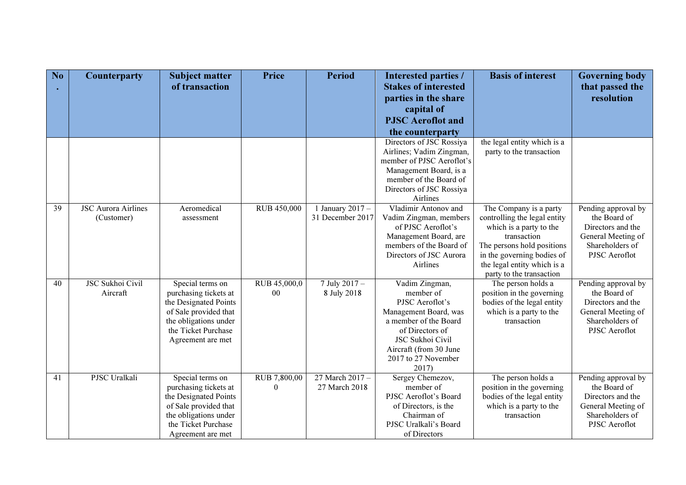| No | <b>Counterparty</b>        | <b>Subject matter</b><br>of transaction        | <b>Price</b>       | <b>Period</b>    | Interested parties /<br><b>Stakes of interested</b> | <b>Basis of interest</b>                                | <b>Governing body</b>                   |
|----|----------------------------|------------------------------------------------|--------------------|------------------|-----------------------------------------------------|---------------------------------------------------------|-----------------------------------------|
|    |                            |                                                |                    |                  | parties in the share                                |                                                         | that passed the<br>resolution           |
|    |                            |                                                |                    |                  | capital of                                          |                                                         |                                         |
|    |                            |                                                |                    |                  | <b>PJSC</b> Aeroflot and                            |                                                         |                                         |
|    |                            |                                                |                    |                  | the counterparty                                    |                                                         |                                         |
|    |                            |                                                |                    |                  | Directors of JSC Rossiya                            | the legal entity which is a                             |                                         |
|    |                            |                                                |                    |                  | Airlines; Vadim Zingman,                            | party to the transaction                                |                                         |
|    |                            |                                                |                    |                  | member of PJSC Aeroflot's<br>Management Board, is a |                                                         |                                         |
|    |                            |                                                |                    |                  | member of the Board of                              |                                                         |                                         |
|    |                            |                                                |                    |                  | Directors of JSC Rossiya                            |                                                         |                                         |
|    |                            |                                                |                    |                  | Airlines                                            |                                                         |                                         |
| 39 | <b>JSC Aurora Airlines</b> | Aeromedical                                    | <b>RUB 450,000</b> | 1 January 2017 - | Vladimir Antonov and                                | The Company is a party                                  | Pending approval by                     |
|    | (Customer)                 | assessment                                     |                    | 31 December 2017 | Vadim Zingman, members<br>of PJSC Aeroflot's        | controlling the legal entity<br>which is a party to the | the Board of<br>Directors and the       |
|    |                            |                                                |                    |                  | Management Board, are                               | transaction                                             | General Meeting of                      |
|    |                            |                                                |                    |                  | members of the Board of                             | The persons hold positions                              | Shareholders of                         |
|    |                            |                                                |                    |                  | Directors of JSC Aurora                             | in the governing bodies of                              | PJSC Aeroflot                           |
|    |                            |                                                |                    |                  | Airlines                                            | the legal entity which is a                             |                                         |
| 40 | <b>JSC Sukhoi Civil</b>    | Special terms on                               | RUB 45,000,0       | $7$ July 2017 -  | Vadim Zingman,                                      | party to the transaction<br>The person holds a          | Pending approval by                     |
|    | Aircraft                   | purchasing tickets at                          | 00                 | 8 July 2018      | member of                                           | position in the governing                               | the Board of                            |
|    |                            | the Designated Points                          |                    |                  | PJSC Aeroflot's                                     | bodies of the legal entity                              | Directors and the                       |
|    |                            | of Sale provided that                          |                    |                  | Management Board, was                               | which is a party to the                                 | General Meeting of                      |
|    |                            | the obligations under                          |                    |                  | a member of the Board                               | transaction                                             | Shareholders of                         |
|    |                            | the Ticket Purchase                            |                    |                  | of Directors of<br>JSC Sukhoi Civil                 |                                                         | PJSC Aeroflot                           |
|    |                            | Agreement are met                              |                    |                  | Aircraft (from 30 June                              |                                                         |                                         |
|    |                            |                                                |                    |                  | 2017 to 27 November                                 |                                                         |                                         |
|    |                            |                                                |                    |                  | 2017)                                               |                                                         |                                         |
| 41 | PJSC Uralkali              | Special terms on                               | RUB 7,800,00       | 27 March 2017 -  | Sergey Chemezov,                                    | The person holds a                                      | Pending approval by                     |
|    |                            | purchasing tickets at                          | $\theta$           | 27 March 2018    | member of                                           | position in the governing                               | the Board of                            |
|    |                            | the Designated Points<br>of Sale provided that |                    |                  | PJSC Aeroflot's Board<br>of Directors, is the       | bodies of the legal entity<br>which is a party to the   | Directors and the<br>General Meeting of |
|    |                            | the obligations under                          |                    |                  | Chairman of                                         | transaction                                             | Shareholders of                         |
|    |                            | the Ticket Purchase                            |                    |                  | PJSC Uralkali's Board                               |                                                         | PJSC Aeroflot                           |
|    |                            | Agreement are met                              |                    |                  | of Directors                                        |                                                         |                                         |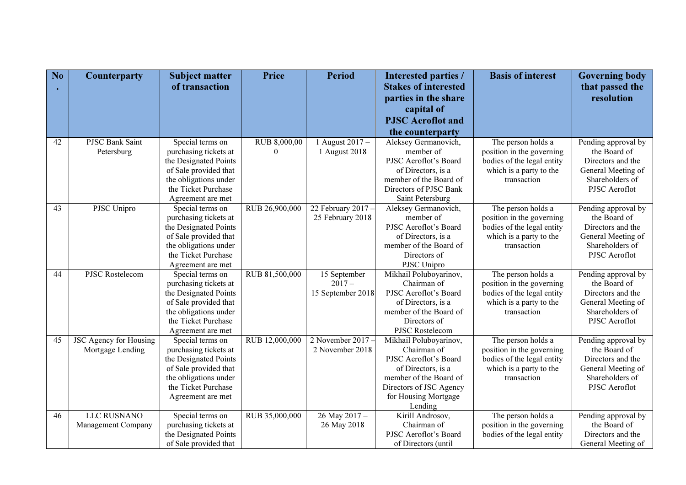| No | <b>Counterparty</b>           | <b>Subject matter</b><br>of transaction        | <b>Price</b>   | <b>Period</b>      | <b>Interested parties /</b><br><b>Stakes of interested</b> | <b>Basis of interest</b>               | <b>Governing body</b><br>that passed the |
|----|-------------------------------|------------------------------------------------|----------------|--------------------|------------------------------------------------------------|----------------------------------------|------------------------------------------|
|    |                               |                                                |                |                    | parties in the share                                       |                                        | resolution                               |
|    |                               |                                                |                |                    | capital of                                                 |                                        |                                          |
|    |                               |                                                |                |                    | <b>PJSC</b> Aeroflot and                                   |                                        |                                          |
|    |                               |                                                |                |                    | the counterparty                                           |                                        |                                          |
| 42 | <b>PJSC Bank Saint</b>        | Special terms on                               | RUB 8,000,00   | 1 August 2017 $-$  | Aleksey Germanovich,                                       | The person holds a                     | Pending approval by                      |
|    | Petersburg                    | purchasing tickets at                          | $\theta$       | 1 August 2018      | member of                                                  | position in the governing              | the Board of                             |
|    |                               | the Designated Points                          |                |                    | PJSC Aeroflot's Board                                      | bodies of the legal entity             | Directors and the                        |
|    |                               | of Sale provided that                          |                |                    | of Directors, is a                                         | which is a party to the                | General Meeting of                       |
|    |                               | the obligations under                          |                |                    | member of the Board of                                     | transaction                            | Shareholders of                          |
|    |                               | the Ticket Purchase                            |                |                    | Directors of PJSC Bank                                     |                                        | PJSC Aeroflot                            |
| 43 | PJSC Unipro                   | Agreement are met<br>Special terms on          | RUB 26,900,000 | 22 February 2017 - | Saint Petersburg<br>Aleksey Germanovich,                   | The person holds a                     | Pending approval by                      |
|    |                               | purchasing tickets at                          |                | 25 February 2018   | member of                                                  | position in the governing              | the Board of                             |
|    |                               | the Designated Points                          |                |                    | PJSC Aeroflot's Board                                      | bodies of the legal entity             | Directors and the                        |
|    |                               | of Sale provided that                          |                |                    | of Directors, is a                                         | which is a party to the                | General Meeting of                       |
|    |                               | the obligations under                          |                |                    | member of the Board of                                     | transaction                            | Shareholders of                          |
|    |                               | the Ticket Purchase                            |                |                    | Directors of                                               |                                        | PJSC Aeroflot                            |
|    |                               | Agreement are met                              |                |                    | PJSC Unipro                                                |                                        |                                          |
| 44 | <b>PJSC Rostelecom</b>        | Special terms on                               | RUB 81,500,000 | 15 September       | Mikhail Poluboyarinov,                                     | The person holds a                     | Pending approval by                      |
|    |                               | purchasing tickets at                          |                | $2017 -$           | Chairman of                                                | position in the governing              | the Board of                             |
|    |                               | the Designated Points                          |                | 15 September 2018  | PJSC Aeroflot's Board                                      | bodies of the legal entity             | Directors and the                        |
|    |                               | of Sale provided that                          |                |                    | of Directors, is a                                         | which is a party to the                | General Meeting of                       |
|    |                               | the obligations under                          |                |                    | member of the Board of                                     | transaction                            | Shareholders of                          |
|    |                               | the Ticket Purchase                            |                |                    | Directors of                                               |                                        | PJSC Aeroflot                            |
|    |                               | Agreement are met                              |                |                    | PJSC Rostelecom                                            |                                        |                                          |
| 45 | <b>JSC Agency for Housing</b> | Special terms on                               | RUB 12,000,000 | 2 November 2017    | Mikhail Poluboyarinov,                                     | The person holds a                     | Pending approval by                      |
|    | Mortgage Lending              | purchasing tickets at                          |                | 2 November 2018    | Chairman of                                                | position in the governing              | the Board of                             |
|    |                               | the Designated Points                          |                |                    | PJSC Aeroflot's Board                                      | bodies of the legal entity             | Directors and the                        |
|    |                               | of Sale provided that<br>the obligations under |                |                    | of Directors, is a<br>member of the Board of               | which is a party to the<br>transaction | General Meeting of<br>Shareholders of    |
|    |                               | the Ticket Purchase                            |                |                    | Directors of JSC Agency                                    |                                        | PJSC Aeroflot                            |
|    |                               | Agreement are met                              |                |                    | for Housing Mortgage                                       |                                        |                                          |
|    |                               |                                                |                |                    | Lending                                                    |                                        |                                          |
| 46 | <b>LLC RUSNANO</b>            | Special terms on                               | RUB 35,000,000 | 26 May 2017 -      | Kirill Androsov,                                           | The person holds a                     | Pending approval by                      |
|    | Management Company            | purchasing tickets at                          |                | 26 May 2018        | Chairman of                                                | position in the governing              | the Board of                             |
|    |                               | the Designated Points                          |                |                    | PJSC Aeroflot's Board                                      | bodies of the legal entity             | Directors and the                        |
|    |                               | of Sale provided that                          |                |                    | of Directors (until                                        |                                        | General Meeting of                       |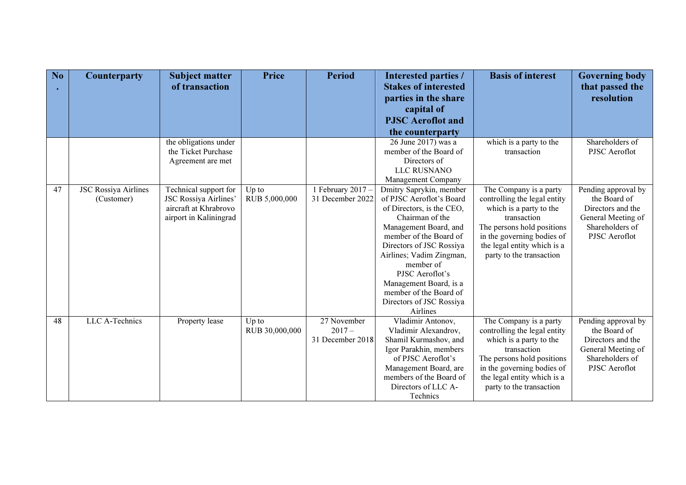| No | <b>Counterparty</b>         | <b>Subject matter</b><br>of transaction | <b>Price</b>   | <b>Period</b>     | <b>Interested parties /</b><br><b>Stakes of interested</b> | <b>Basis of interest</b>                                 | <b>Governing body</b><br>that passed the<br>resolution |
|----|-----------------------------|-----------------------------------------|----------------|-------------------|------------------------------------------------------------|----------------------------------------------------------|--------------------------------------------------------|
|    |                             |                                         |                |                   | parties in the share<br>capital of                         |                                                          |                                                        |
|    |                             |                                         |                |                   | <b>PJSC</b> Aeroflot and                                   |                                                          |                                                        |
|    |                             |                                         |                |                   | the counterparty                                           |                                                          |                                                        |
|    |                             | the obligations under                   |                |                   | 26 June 2017) was a                                        | which is a party to the                                  | Shareholders of                                        |
|    |                             | the Ticket Purchase                     |                |                   | member of the Board of                                     | transaction                                              | PJSC Aeroflot                                          |
|    |                             | Agreement are met                       |                |                   | Directors of                                               |                                                          |                                                        |
|    |                             |                                         |                |                   | LLC RUSNANO                                                |                                                          |                                                        |
|    |                             |                                         |                |                   | Management Company                                         |                                                          |                                                        |
| 47 | <b>JSC Rossiya Airlines</b> | Technical support for                   | Up to          | 1 February 2017 - | Dmitry Saprykin, member                                    | The Company is a party                                   | Pending approval by                                    |
|    | (Customer)                  | <b>JSC Rossiya Airlines'</b>            | RUB 5,000,000  | 31 December 2022  | of PJSC Aeroflot's Board                                   | controlling the legal entity                             | the Board of                                           |
|    |                             | aircraft at Khrabrovo                   |                |                   | of Directors, is the CEO,<br>Chairman of the               | which is a party to the                                  | Directors and the                                      |
|    |                             | airport in Kaliningrad                  |                |                   | Management Board, and                                      | transaction                                              | General Meeting of<br>Shareholders of                  |
|    |                             |                                         |                |                   | member of the Board of                                     | The persons hold positions<br>in the governing bodies of | PJSC Aeroflot                                          |
|    |                             |                                         |                |                   | Directors of JSC Rossiya                                   | the legal entity which is a                              |                                                        |
|    |                             |                                         |                |                   | Airlines; Vadim Zingman,                                   | party to the transaction                                 |                                                        |
|    |                             |                                         |                |                   | member of                                                  |                                                          |                                                        |
|    |                             |                                         |                |                   | PJSC Aeroflot's                                            |                                                          |                                                        |
|    |                             |                                         |                |                   | Management Board, is a                                     |                                                          |                                                        |
|    |                             |                                         |                |                   | member of the Board of                                     |                                                          |                                                        |
|    |                             |                                         |                |                   | Directors of JSC Rossiya                                   |                                                          |                                                        |
|    |                             |                                         |                |                   | Airlines                                                   |                                                          |                                                        |
| 48 | LLC A-Technics              | Property lease                          | $Up$ to        | 27 November       | Vladimir Antonov,                                          | The Company is a party                                   | Pending approval by                                    |
|    |                             |                                         | RUB 30,000,000 | $2017-$           | Vladimir Alexandrov,                                       | controlling the legal entity                             | the Board of                                           |
|    |                             |                                         |                | 31 December 2018  | Shamil Kurmashov, and                                      | which is a party to the                                  | Directors and the                                      |
|    |                             |                                         |                |                   | Igor Parakhin, members                                     | transaction                                              | General Meeting of                                     |
|    |                             |                                         |                |                   | of PJSC Aeroflot's                                         | The persons hold positions                               | Shareholders of                                        |
|    |                             |                                         |                |                   | Management Board, are<br>members of the Board of           | in the governing bodies of                               | PJSC Aeroflot                                          |
|    |                             |                                         |                |                   | Directors of LLC A-                                        | the legal entity which is a<br>party to the transaction  |                                                        |
|    |                             |                                         |                |                   | Technics                                                   |                                                          |                                                        |